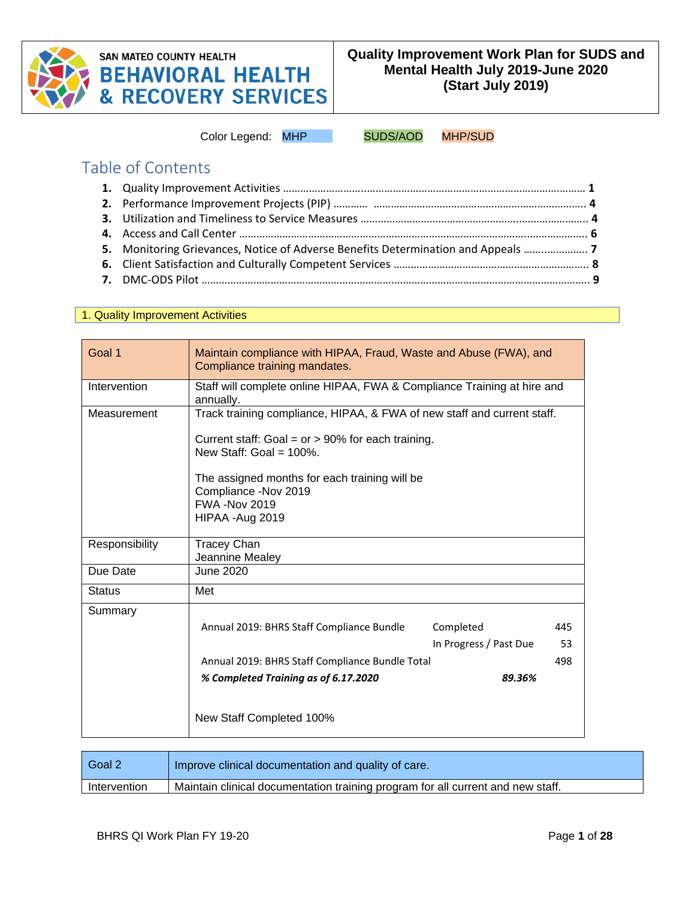

# **SAN MATEO COUNTY HEALTH BEHAVIORAL HEALTH<br>& RECOVERY SERVICES**

Color Legend: MHP SUDS/AOD MHP/SUD

Table of Contents

| 5. Monitoring Grievances, Notice of Adverse Benefits Determination and Appeals |  |
|--------------------------------------------------------------------------------|--|
|                                                                                |  |
|                                                                                |  |
|                                                                                |  |

#### 1. Quality Improvement Activities

| Goal 1         | Maintain compliance with HIPAA, Fraud, Waste and Abuse (FWA), and<br>Compliance training mandates. |                        |     |
|----------------|----------------------------------------------------------------------------------------------------|------------------------|-----|
| Intervention   | Staff will complete online HIPAA, FWA & Compliance Training at hire and<br>annually.               |                        |     |
| Measurement    | Track training compliance, HIPAA, & FWA of new staff and current staff.                            |                        |     |
|                | Current staff: Goal = $or$ > 90% for each training.<br>New Staff: Goal = $100\%$ .                 |                        |     |
|                | The assigned months for each training will be                                                      |                        |     |
|                | Compliance -Nov 2019<br><b>FWA -Nov 2019</b>                                                       |                        |     |
|                | HIPAA - Aug 2019                                                                                   |                        |     |
| Responsibility | <b>Tracey Chan</b><br>Jeannine Mealey                                                              |                        |     |
| Due Date       | June 2020                                                                                          |                        |     |
| <b>Status</b>  | Met                                                                                                |                        |     |
| Summary        |                                                                                                    |                        |     |
|                | Annual 2019: BHRS Staff Compliance Bundle                                                          | Completed              | 445 |
|                |                                                                                                    | In Progress / Past Due | 53  |
|                | Annual 2019: BHRS Staff Compliance Bundle Total                                                    |                        | 498 |
|                | % Completed Training as of 6.17.2020                                                               | 89.36%                 |     |
|                | New Staff Completed 100%                                                                           |                        |     |

| Goal 2       | Improve clinical documentation and quality of care.                             |
|--------------|---------------------------------------------------------------------------------|
| Intervention | Maintain clinical documentation training program for all current and new staff. |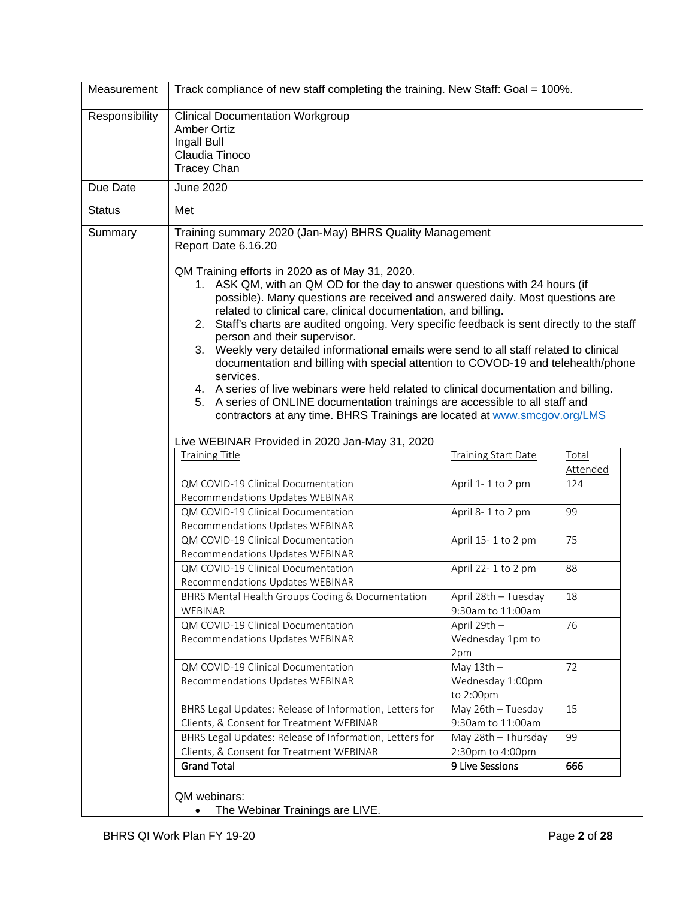| Measurement    | Track compliance of new staff completing the training. New Staff: Goal = 100%.                                                                                                                                                                                                                                                                                                                                                                                                                                                                                                                                                                                                                                                                                                                                                                                                                                                                           |                                               |                   |  |  |  |
|----------------|----------------------------------------------------------------------------------------------------------------------------------------------------------------------------------------------------------------------------------------------------------------------------------------------------------------------------------------------------------------------------------------------------------------------------------------------------------------------------------------------------------------------------------------------------------------------------------------------------------------------------------------------------------------------------------------------------------------------------------------------------------------------------------------------------------------------------------------------------------------------------------------------------------------------------------------------------------|-----------------------------------------------|-------------------|--|--|--|
| Responsibility | <b>Clinical Documentation Workgroup</b><br><b>Amber Ortiz</b><br>Ingall Bull<br>Claudia Tinoco<br><b>Tracey Chan</b>                                                                                                                                                                                                                                                                                                                                                                                                                                                                                                                                                                                                                                                                                                                                                                                                                                     |                                               |                   |  |  |  |
| Due Date       | <b>June 2020</b>                                                                                                                                                                                                                                                                                                                                                                                                                                                                                                                                                                                                                                                                                                                                                                                                                                                                                                                                         |                                               |                   |  |  |  |
| <b>Status</b>  | Met                                                                                                                                                                                                                                                                                                                                                                                                                                                                                                                                                                                                                                                                                                                                                                                                                                                                                                                                                      |                                               |                   |  |  |  |
| Summary        | Training summary 2020 (Jan-May) BHRS Quality Management<br>Report Date 6.16.20<br>QM Training efforts in 2020 as of May 31, 2020.<br>1. ASK QM, with an QM OD for the day to answer questions with 24 hours (if<br>possible). Many questions are received and answered daily. Most questions are<br>related to clinical care, clinical documentation, and billing.<br>2. Staff's charts are audited ongoing. Very specific feedback is sent directly to the staff<br>person and their supervisor.<br>3. Weekly very detailed informational emails were send to all staff related to clinical<br>documentation and billing with special attention to COVOD-19 and telehealth/phone<br>services.<br>4. A series of live webinars were held related to clinical documentation and billing.<br>A series of ONLINE documentation trainings are accessible to all staff and<br>5.<br>contractors at any time. BHRS Trainings are located at www.smcgov.org/LMS |                                               |                   |  |  |  |
|                | Live WEBINAR Provided in 2020 Jan-May 31, 2020                                                                                                                                                                                                                                                                                                                                                                                                                                                                                                                                                                                                                                                                                                                                                                                                                                                                                                           |                                               |                   |  |  |  |
|                | <b>Training Title</b>                                                                                                                                                                                                                                                                                                                                                                                                                                                                                                                                                                                                                                                                                                                                                                                                                                                                                                                                    | <b>Training Start Date</b>                    | Total<br>Attended |  |  |  |
|                | QM COVID-19 Clinical Documentation<br>Recommendations Updates WEBINAR                                                                                                                                                                                                                                                                                                                                                                                                                                                                                                                                                                                                                                                                                                                                                                                                                                                                                    | April 1-1 to 2 pm                             | 124               |  |  |  |
|                | QM COVID-19 Clinical Documentation<br>Recommendations Updates WEBINAR                                                                                                                                                                                                                                                                                                                                                                                                                                                                                                                                                                                                                                                                                                                                                                                                                                                                                    | April 8-1 to 2 pm                             | 99                |  |  |  |
|                | QM COVID-19 Clinical Documentation<br>Recommendations Updates WEBINAR                                                                                                                                                                                                                                                                                                                                                                                                                                                                                                                                                                                                                                                                                                                                                                                                                                                                                    | April 15-1 to 2 pm                            | 75                |  |  |  |
|                | QM COVID-19 Clinical Documentation<br>Recommendations Updates WEBINAR                                                                                                                                                                                                                                                                                                                                                                                                                                                                                                                                                                                                                                                                                                                                                                                                                                                                                    | April 22-1 to 2 pm                            | 88                |  |  |  |
|                | BHRS Mental Health Groups Coding & Documentation<br>WEBINAR                                                                                                                                                                                                                                                                                                                                                                                                                                                                                                                                                                                                                                                                                                                                                                                                                                                                                              | April 28th - Tuesday<br>9:30am to 11:00am     | 18                |  |  |  |
|                | QM COVID-19 Clinical Documentation<br>Recommendations Updates WEBINAR                                                                                                                                                                                                                                                                                                                                                                                                                                                                                                                                                                                                                                                                                                                                                                                                                                                                                    | April 29th -<br>Wednesday 1pm to<br>2pm       | 76                |  |  |  |
|                | QM COVID-19 Clinical Documentation<br>Recommendations Updates WEBINAR                                                                                                                                                                                                                                                                                                                                                                                                                                                                                                                                                                                                                                                                                                                                                                                                                                                                                    | May $13th -$<br>Wednesday 1:00pm<br>to 2:00pm | 72                |  |  |  |
|                | BHRS Legal Updates: Release of Information, Letters for<br>Clients, & Consent for Treatment WEBINAR                                                                                                                                                                                                                                                                                                                                                                                                                                                                                                                                                                                                                                                                                                                                                                                                                                                      | May 26th - Tuesday<br>9:30am to 11:00am       | 15                |  |  |  |
|                | BHRS Legal Updates: Release of Information, Letters for<br>Clients, & Consent for Treatment WEBINAR                                                                                                                                                                                                                                                                                                                                                                                                                                                                                                                                                                                                                                                                                                                                                                                                                                                      | May 28th - Thursday<br>2:30pm to 4:00pm       | 99                |  |  |  |
|                | <b>Grand Total</b>                                                                                                                                                                                                                                                                                                                                                                                                                                                                                                                                                                                                                                                                                                                                                                                                                                                                                                                                       | 9 Live Sessions                               | 666               |  |  |  |
|                | QM webinars:<br>The Webinar Trainings are LIVE.<br>$\bullet$                                                                                                                                                                                                                                                                                                                                                                                                                                                                                                                                                                                                                                                                                                                                                                                                                                                                                             |                                               |                   |  |  |  |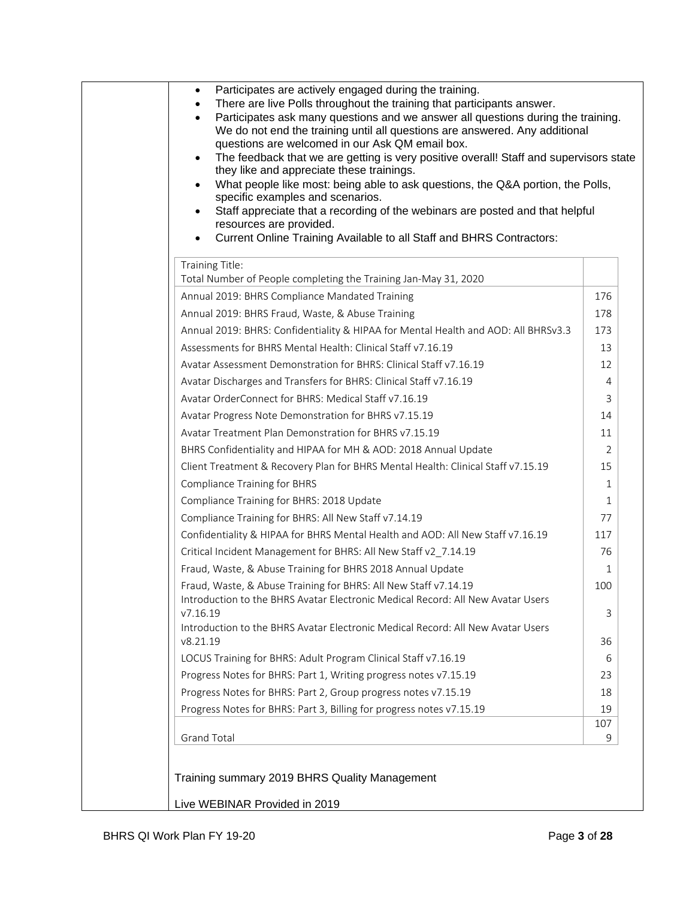| questions are welcomed in our Ask QM email box.<br>The feedback that we are getting is very positive overall! Staff and supervisors state<br>they like and appreciate these trainings.<br>What people like most: being able to ask questions, the Q&A portion, the Polls,<br>specific examples and scenarios.<br>Staff appreciate that a recording of the webinars are posted and that helpful<br>resources are provided.<br>Current Online Training Available to all Staff and BHRS Contractors: |                |
|---------------------------------------------------------------------------------------------------------------------------------------------------------------------------------------------------------------------------------------------------------------------------------------------------------------------------------------------------------------------------------------------------------------------------------------------------------------------------------------------------|----------------|
| Training Title:                                                                                                                                                                                                                                                                                                                                                                                                                                                                                   |                |
| Total Number of People completing the Training Jan-May 31, 2020                                                                                                                                                                                                                                                                                                                                                                                                                                   |                |
| Annual 2019: BHRS Compliance Mandated Training                                                                                                                                                                                                                                                                                                                                                                                                                                                    | 176            |
| Annual 2019: BHRS Fraud, Waste, & Abuse Training                                                                                                                                                                                                                                                                                                                                                                                                                                                  | 178            |
| Annual 2019: BHRS: Confidentiality & HIPAA for Mental Health and AOD: All BHRSv3.3                                                                                                                                                                                                                                                                                                                                                                                                                | 173            |
| Assessments for BHRS Mental Health: Clinical Staff v7.16.19                                                                                                                                                                                                                                                                                                                                                                                                                                       | 13             |
| Avatar Assessment Demonstration for BHRS: Clinical Staff v7.16.19                                                                                                                                                                                                                                                                                                                                                                                                                                 | 12             |
| Avatar Discharges and Transfers for BHRS: Clinical Staff v7.16.19                                                                                                                                                                                                                                                                                                                                                                                                                                 | 4              |
| Avatar OrderConnect for BHRS: Medical Staff v7.16.19                                                                                                                                                                                                                                                                                                                                                                                                                                              | 3              |
| Avatar Progress Note Demonstration for BHRS v7.15.19                                                                                                                                                                                                                                                                                                                                                                                                                                              | 14             |
| Avatar Treatment Plan Demonstration for BHRS v7.15.19                                                                                                                                                                                                                                                                                                                                                                                                                                             | 11             |
| BHRS Confidentiality and HIPAA for MH & AOD: 2018 Annual Update                                                                                                                                                                                                                                                                                                                                                                                                                                   | $\overline{2}$ |
| Client Treatment & Recovery Plan for BHRS Mental Health: Clinical Staff v7.15.19                                                                                                                                                                                                                                                                                                                                                                                                                  | 15             |
| <b>Compliance Training for BHRS</b>                                                                                                                                                                                                                                                                                                                                                                                                                                                               | 1              |
| Compliance Training for BHRS: 2018 Update                                                                                                                                                                                                                                                                                                                                                                                                                                                         | 1              |
| Compliance Training for BHRS: All New Staff v7.14.19                                                                                                                                                                                                                                                                                                                                                                                                                                              | 77             |
| Confidentiality & HIPAA for BHRS Mental Health and AOD: All New Staff v7.16.19                                                                                                                                                                                                                                                                                                                                                                                                                    | 117            |
| Critical Incident Management for BHRS: All New Staff v2_7.14.19                                                                                                                                                                                                                                                                                                                                                                                                                                   | 76             |
| Fraud, Waste, & Abuse Training for BHRS 2018 Annual Update                                                                                                                                                                                                                                                                                                                                                                                                                                        | 1              |
| Fraud, Waste, & Abuse Training for BHRS: All New Staff v7.14.19<br>Introduction to the BHRS Avatar Electronic Medical Record: All New Avatar Users                                                                                                                                                                                                                                                                                                                                                | 100            |
| V7.16.19                                                                                                                                                                                                                                                                                                                                                                                                                                                                                          | 3              |
| Introduction to the BHRS Avatar Electronic Medical Record: All New Avatar Users                                                                                                                                                                                                                                                                                                                                                                                                                   |                |
| v8.21.19                                                                                                                                                                                                                                                                                                                                                                                                                                                                                          | 36             |
| LOCUS Training for BHRS: Adult Program Clinical Staff v7.16.19                                                                                                                                                                                                                                                                                                                                                                                                                                    | 6              |
| Progress Notes for BHRS: Part 1, Writing progress notes v7.15.19                                                                                                                                                                                                                                                                                                                                                                                                                                  | 23             |
| Progress Notes for BHRS: Part 2, Group progress notes v7.15.19                                                                                                                                                                                                                                                                                                                                                                                                                                    | 18             |
| Progress Notes for BHRS: Part 3, Billing for progress notes v7.15.19                                                                                                                                                                                                                                                                                                                                                                                                                              | 19             |
|                                                                                                                                                                                                                                                                                                                                                                                                                                                                                                   | 107<br>9       |
| <b>Grand Total</b>                                                                                                                                                                                                                                                                                                                                                                                                                                                                                |                |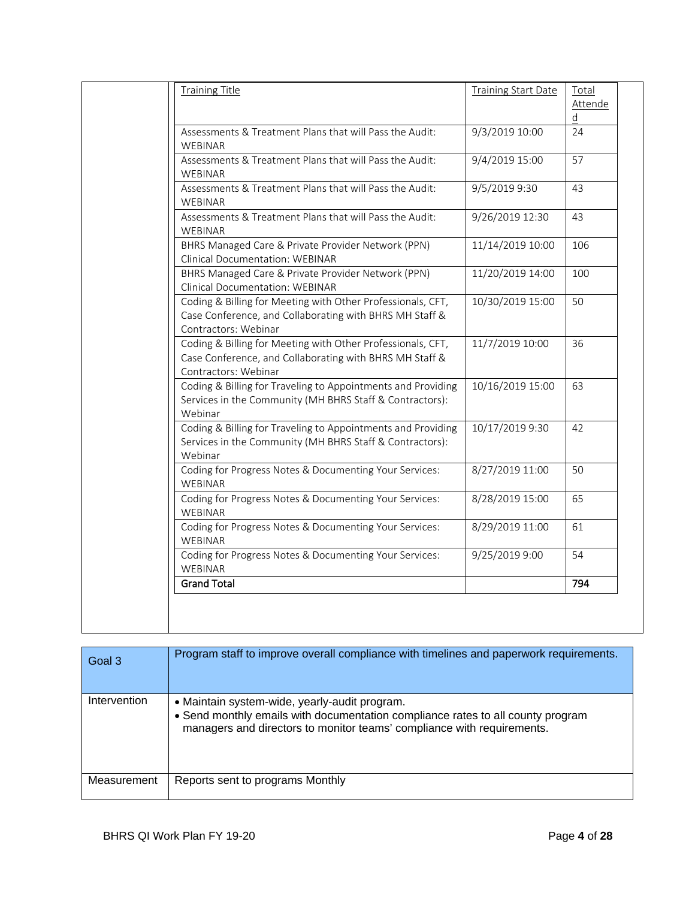| <b>Training Title</b>                                                                                                                          | <b>Training Start Date</b> | Total<br><b>Attende</b> |
|------------------------------------------------------------------------------------------------------------------------------------------------|----------------------------|-------------------------|
|                                                                                                                                                |                            | $\underline{d}$         |
| Assessments & Treatment Plans that will Pass the Audit:<br>WEBINAR                                                                             | 9/3/2019 10:00             | 24                      |
| Assessments & Treatment Plans that will Pass the Audit:<br><b>WEBINAR</b>                                                                      | 9/4/2019 15:00             | 57                      |
| Assessments & Treatment Plans that will Pass the Audit:<br><b>WEBINAR</b>                                                                      | 9/5/2019 9:30              | 43                      |
| Assessments & Treatment Plans that will Pass the Audit:<br>WEBINAR                                                                             | 9/26/2019 12:30            | 43                      |
| BHRS Managed Care & Private Provider Network (PPN)<br>Clinical Documentation: WEBINAR                                                          | 11/14/2019 10:00           | 106                     |
| BHRS Managed Care & Private Provider Network (PPN)<br><b>Clinical Documentation: WEBINAR</b>                                                   | 11/20/2019 14:00           | 100                     |
| Coding & Billing for Meeting with Other Professionals, CFT,<br>Case Conference, and Collaborating with BHRS MH Staff &<br>Contractors: Webinar | 10/30/2019 15:00           | 50                      |
| Coding & Billing for Meeting with Other Professionals, CFT,<br>Case Conference, and Collaborating with BHRS MH Staff &<br>Contractors: Webinar | 11/7/2019 10:00            | 36                      |
| Coding & Billing for Traveling to Appointments and Providing<br>Services in the Community (MH BHRS Staff & Contractors):<br>Webinar            | 10/16/2019 15:00           | 63                      |
| Coding & Billing for Traveling to Appointments and Providing<br>Services in the Community (MH BHRS Staff & Contractors):<br>Webinar            | 10/17/2019 9:30            | 42                      |
| Coding for Progress Notes & Documenting Your Services:<br>WEBINAR                                                                              | 8/27/2019 11:00            | 50                      |
| Coding for Progress Notes & Documenting Your Services:<br>WEBINAR                                                                              | 8/28/2019 15:00            | 65                      |
| Coding for Progress Notes & Documenting Your Services:<br>WEBINAR                                                                              | 8/29/2019 11:00            | 61                      |
| Coding for Progress Notes & Documenting Your Services:<br>WEBINAR                                                                              | 9/25/2019 9:00             | 54                      |
| <b>Grand Total</b>                                                                                                                             |                            | 794                     |

| Goal 3       | Program staff to improve overall compliance with timelines and paperwork requirements.                                                                                                                     |
|--------------|------------------------------------------------------------------------------------------------------------------------------------------------------------------------------------------------------------|
| Intervention | • Maintain system-wide, yearly-audit program.<br>• Send monthly emails with documentation compliance rates to all county program<br>managers and directors to monitor teams' compliance with requirements. |
| Measurement  | Reports sent to programs Monthly                                                                                                                                                                           |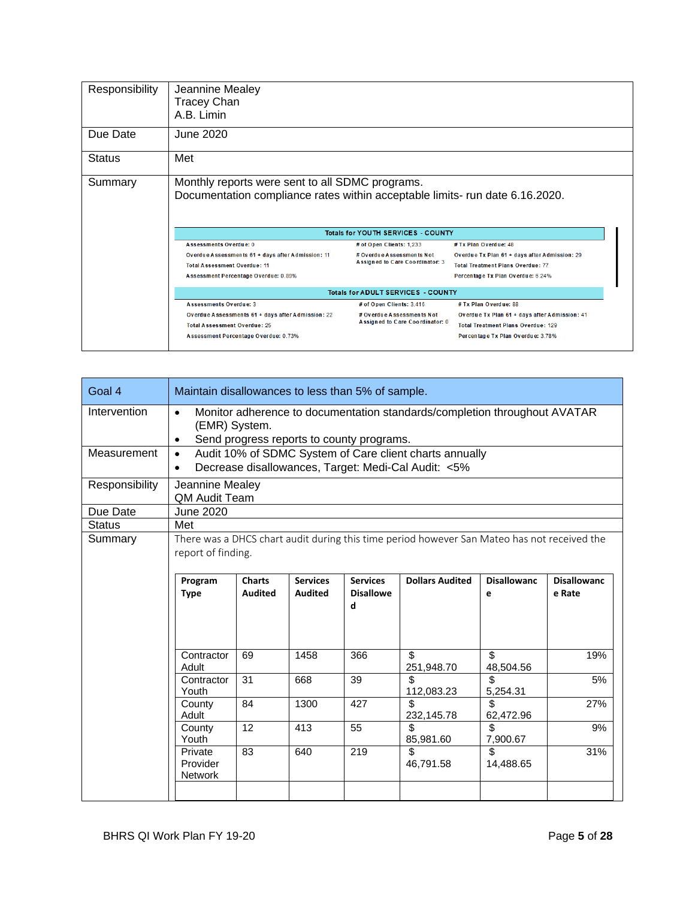| Responsibility | Jeannine Mealey<br><b>Tracey Chan</b><br>A.B. Limin                                                                                                               |                                                                                                                                                                              |                                                                                                                                                         |  |  |  |  |
|----------------|-------------------------------------------------------------------------------------------------------------------------------------------------------------------|------------------------------------------------------------------------------------------------------------------------------------------------------------------------------|---------------------------------------------------------------------------------------------------------------------------------------------------------|--|--|--|--|
| Due Date       | June 2020                                                                                                                                                         |                                                                                                                                                                              |                                                                                                                                                         |  |  |  |  |
| <b>Status</b>  | Met                                                                                                                                                               |                                                                                                                                                                              |                                                                                                                                                         |  |  |  |  |
| Summary        |                                                                                                                                                                   | Monthly reports were sent to all SDMC programs.<br>Documentation compliance rates within acceptable limits- run date 6.16.2020.<br><b>Totals for YOUTH SERVICES - COUNTY</b> |                                                                                                                                                         |  |  |  |  |
|                | <b>Assessments Overdue: 0</b><br>Overdue Assessments 61 + days after Admission: 11<br><b>Total Assessment Overdue: 11</b><br>Assessment Percentage Overdue: 0.89% | # of Open Clients: 1,233<br># Overdue Assessments Not<br>Assigned to Care Coordinator: 3                                                                                     | # Tx Plan Overdue: 48<br>Overdue Tx Plan 61 + days after Admission: 29<br><b>Total Treatment Plans Overdue: 77</b><br>Percentage Tx Plan Overdue: 6.24% |  |  |  |  |
|                | <b>Totals for ADULT SERVICES - COUNTY</b>                                                                                                                         |                                                                                                                                                                              |                                                                                                                                                         |  |  |  |  |
|                | <b>Assessments Overdue: 3</b>                                                                                                                                     | # of Open Clients: 3,416                                                                                                                                                     | # Tx Plan Overdue: 88                                                                                                                                   |  |  |  |  |

| Goal 4         | Maintain disallowances to less than 5% of sample.                                                                                                         |                                 |                                   |                                          |                                                                                                                |                         |                              |
|----------------|-----------------------------------------------------------------------------------------------------------------------------------------------------------|---------------------------------|-----------------------------------|------------------------------------------|----------------------------------------------------------------------------------------------------------------|-------------------------|------------------------------|
| Intervention   | Monitor adherence to documentation standards/completion throughout AVATAR<br>$\bullet$<br>(EMR) System.<br>Send progress reports to county programs.<br>٠ |                                 |                                   |                                          |                                                                                                                |                         |                              |
| Measurement    | $\bullet$<br>$\bullet$                                                                                                                                    |                                 |                                   |                                          | Audit 10% of SDMC System of Care client charts annually<br>Decrease disallowances, Target: Medi-Cal Audit: <5% |                         |                              |
| Responsibility | Jeannine Mealey<br><b>QM Audit Team</b>                                                                                                                   |                                 |                                   |                                          |                                                                                                                |                         |                              |
| Due Date       | <b>June 2020</b>                                                                                                                                          |                                 |                                   |                                          |                                                                                                                |                         |                              |
| <b>Status</b>  | Met                                                                                                                                                       |                                 |                                   |                                          |                                                                                                                |                         |                              |
| Summary        | There was a DHCS chart audit during this time period however San Mateo has not received the<br>report of finding.                                         |                                 |                                   |                                          |                                                                                                                |                         |                              |
|                | Program<br><b>Type</b>                                                                                                                                    | <b>Charts</b><br><b>Audited</b> | <b>Services</b><br><b>Audited</b> | <b>Services</b><br><b>Disallowe</b><br>d | <b>Dollars Audited</b>                                                                                         | <b>Disallowanc</b><br>e | <b>Disallowanc</b><br>e Rate |
|                | Contractor<br>Adult                                                                                                                                       | 69                              | 1458                              | 366                                      | \$<br>251,948.70                                                                                               | \$<br>48,504.56         | 19%                          |
|                | Contractor<br>Youth                                                                                                                                       | 31                              | 668                               | 39                                       | \$.<br>112,083.23                                                                                              | \$<br>5,254.31          | 5%                           |
|                | County<br>Adult                                                                                                                                           | 84                              | 1300                              | 427                                      | \$.<br>232,145.78                                                                                              | \$.<br>62,472.96        | 27%                          |
|                | County<br>Youth                                                                                                                                           | 12                              | 413                               | 55                                       | \$<br>85,981.60                                                                                                | \$<br>7,900.67          | 9%                           |
|                | Private<br>Provider<br><b>Network</b>                                                                                                                     | 83                              | 640                               | 219                                      | \$<br>46,791.58                                                                                                | \$<br>14,488.65         | 31%                          |
|                |                                                                                                                                                           |                                 |                                   |                                          |                                                                                                                |                         |                              |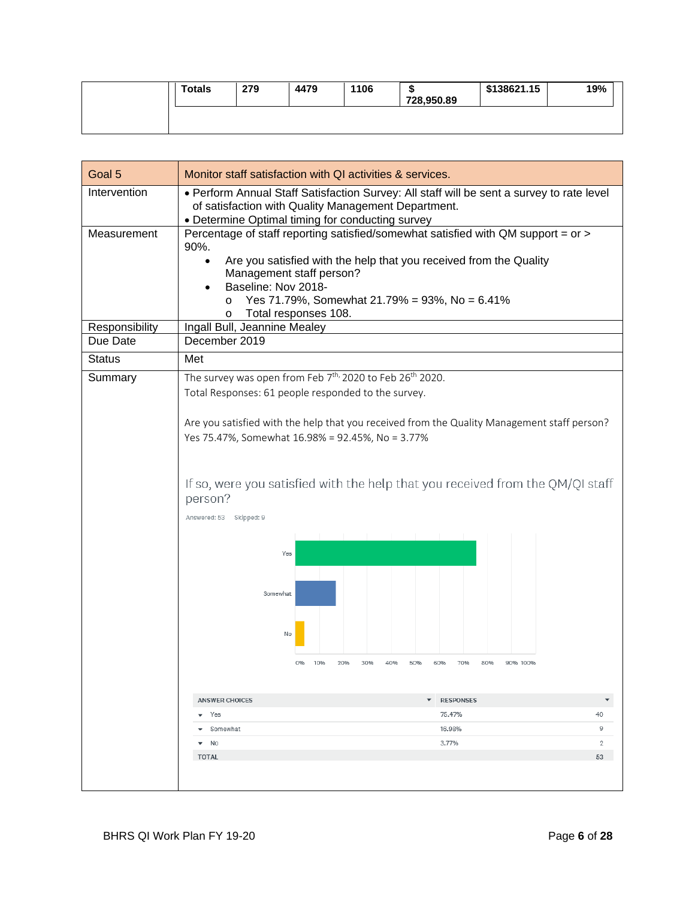| <b>Totals</b> | 279 | 4479 | 1106 | - 17<br>728,950.89 | \$138621.15 | 19% |
|---------------|-----|------|------|--------------------|-------------|-----|
|               |     |      |      |                    |             |     |

| Goal 5                        | Monitor staff satisfaction with QI activities & services.                                                                                                                                                                                                                                                                                                                                                                                                                                                             |
|-------------------------------|-----------------------------------------------------------------------------------------------------------------------------------------------------------------------------------------------------------------------------------------------------------------------------------------------------------------------------------------------------------------------------------------------------------------------------------------------------------------------------------------------------------------------|
| Intervention                  | . Perform Annual Staff Satisfaction Survey: All staff will be sent a survey to rate level<br>of satisfaction with Quality Management Department.<br>• Determine Optimal timing for conducting survey                                                                                                                                                                                                                                                                                                                  |
| Measurement<br>Responsibility | Percentage of staff reporting satisfied/somewhat satisfied with QM support = or ><br>90%.<br>Are you satisfied with the help that you received from the Quality<br>$\bullet$<br>Management staff person?<br>Baseline: Nov 2018-<br>Yes 71.79%, Somewhat 21.79% = 93%, No = 6.41%<br>$\circ$<br>Total responses 108.<br>O<br>Ingall Bull, Jeannine Mealey                                                                                                                                                              |
| Due Date                      | December 2019                                                                                                                                                                                                                                                                                                                                                                                                                                                                                                         |
| <b>Status</b>                 | Met                                                                                                                                                                                                                                                                                                                                                                                                                                                                                                                   |
| Summary                       | The survey was open from Feb 7 <sup>th,</sup> 2020 to Feb 26 <sup>th</sup> 2020.<br>Total Responses: 61 people responded to the survey.<br>Are you satisfied with the help that you received from the Quality Management staff person?<br>Yes 75.47%, Somewhat 16.98% = 92.45%, No = 3.77%<br>If so, were you satisfied with the help that you received from the QM/QI staff<br>person?<br>Answered: 53 Skipped: 9<br>Yes<br>Somewhat<br>No<br>10%<br>30%<br>70%<br>80%<br>20%<br>40%<br>50%<br>60%<br>90% 100%<br>0% |
|                               | <b>ANSWER CHOICES</b><br><b>RESPONSES</b><br>▼<br>40<br>$\bullet$ Yes<br>75.47%                                                                                                                                                                                                                                                                                                                                                                                                                                       |
|                               | 9<br>• Somewhat<br>16.98%                                                                                                                                                                                                                                                                                                                                                                                                                                                                                             |
|                               | $\mathfrak{D}$<br>3.77%<br>$\bullet$ No                                                                                                                                                                                                                                                                                                                                                                                                                                                                               |
|                               | <b>TOTAL</b><br>53                                                                                                                                                                                                                                                                                                                                                                                                                                                                                                    |
|                               |                                                                                                                                                                                                                                                                                                                                                                                                                                                                                                                       |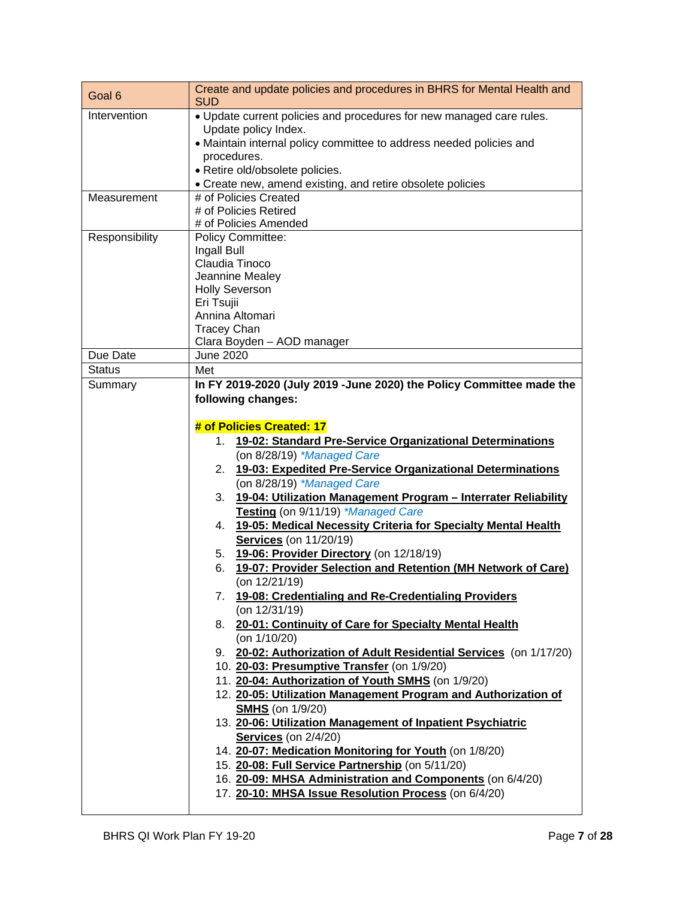| Goal 6         | Create and update policies and procedures in BHRS for Mental Health and<br><b>SUD</b>                             |
|----------------|-------------------------------------------------------------------------------------------------------------------|
| Intervention   | . Update current policies and procedures for new managed care rules.                                              |
|                | Update policy Index.                                                                                              |
|                | · Maintain internal policy committee to address needed policies and                                               |
|                | procedures.<br>· Retire old/obsolete policies.                                                                    |
|                | • Create new, amend existing, and retire obsolete policies                                                        |
| Measurement    | # of Policies Created                                                                                             |
|                | # of Policies Retired                                                                                             |
|                | # of Policies Amended                                                                                             |
| Responsibility | <b>Policy Committee:</b>                                                                                          |
|                | Ingall Bull<br>Claudia Tinoco                                                                                     |
|                | Jeannine Mealey                                                                                                   |
|                | <b>Holly Severson</b>                                                                                             |
|                | Eri Tsujii                                                                                                        |
|                | Annina Altomari                                                                                                   |
|                | <b>Tracey Chan</b>                                                                                                |
|                | Clara Boyden - AOD manager                                                                                        |
| Due Date       | June 2020                                                                                                         |
| <b>Status</b>  | Met<br>In FY 2019-2020 (July 2019 -June 2020) the Policy Committee made the                                       |
| Summary        | following changes:                                                                                                |
|                |                                                                                                                   |
|                | # of Policies Created: 17                                                                                         |
|                | 19-02: Standard Pre-Service Organizational Determinations<br>1.                                                   |
|                | (on 8/28/19) *Managed Care                                                                                        |
|                | 19-03: Expedited Pre-Service Organizational Determinations<br>2.                                                  |
|                | (on 8/28/19) *Managed Care                                                                                        |
|                | 19-04: Utilization Management Program - Interrater Reliability<br>3.                                              |
|                | Testing (on 9/11/19) *Managed Care                                                                                |
|                | 19-05: Medical Necessity Criteria for Specialty Mental Health<br>4.                                               |
|                | <b>Services</b> (on 11/20/19)                                                                                     |
|                | 5. <b>19-06: Provider Directory</b> (on 12/18/19)                                                                 |
|                | 19-07: Provider Selection and Retention (MH Network of Care)<br>6.                                                |
|                | (on 12/21/19)<br>19-08: Credentialing and Re-Credentialing Providers                                              |
|                | 7.<br>(on 12/31/19)                                                                                               |
|                | 8. 20-01: Continuity of Care for Specialty Mental Health                                                          |
|                | (on $1/10/20$ )                                                                                                   |
|                | 9. 20-02: Authorization of Adult Residential Services (on 1/17/20)                                                |
|                | 10. 20-03: Presumptive Transfer (on 1/9/20)                                                                       |
|                | 11. 20-04: Authorization of Youth SMHS (on 1/9/20)                                                                |
|                | 12. 20-05: Utilization Management Program and Authorization of                                                    |
|                | <b>SMHS</b> (on 1/9/20)                                                                                           |
|                | 13. 20-06: Utilization Management of Inpatient Psychiatric                                                        |
|                | <b>Services</b> (on 2/4/20)                                                                                       |
|                | 14. 20-07: Medication Monitoring for Youth (on 1/8/20)                                                            |
|                | 15. 20-08: Full Service Partnership (on 5/11/20)                                                                  |
|                | 16. 20-09: MHSA Administration and Components (on 6/4/20)<br>17. 20-10: MHSA Issue Resolution Process (on 6/4/20) |
|                |                                                                                                                   |
|                |                                                                                                                   |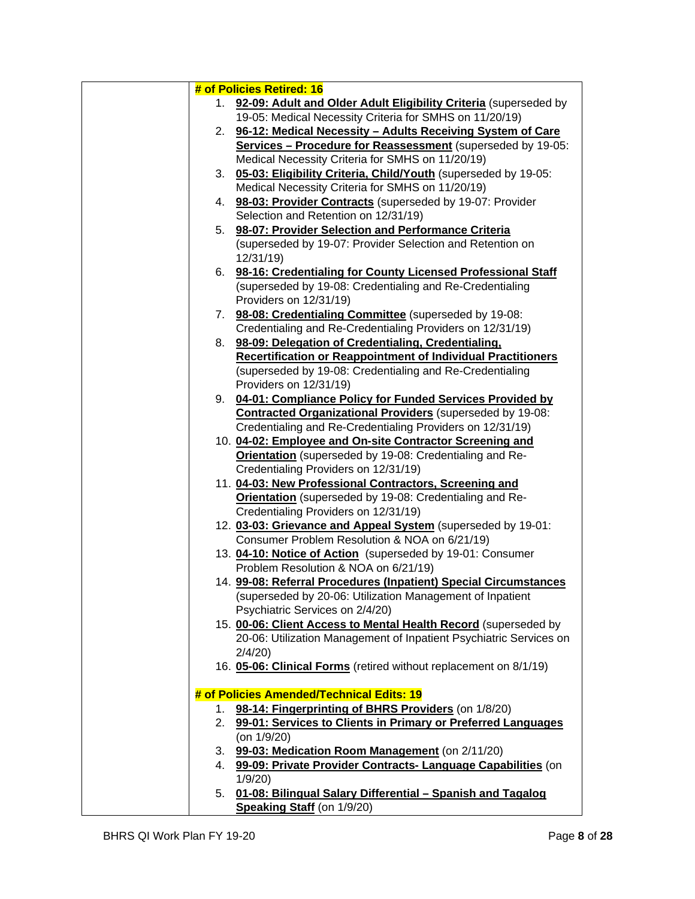|    | # of Policies Retired: 16                                          |
|----|--------------------------------------------------------------------|
| 1. | 92-09: Adult and Older Adult Eligibility Criteria (superseded by   |
|    | 19-05: Medical Necessity Criteria for SMHS on 11/20/19)            |
|    | 2. 96-12: Medical Necessity - Adults Receiving System of Care      |
|    | Services - Procedure for Reassessment (superseded by 19-05:        |
|    | Medical Necessity Criteria for SMHS on 11/20/19)                   |
| 3. | 05-03: Eligibility Criteria, Child/Youth (superseded by 19-05:     |
|    | Medical Necessity Criteria for SMHS on 11/20/19)                   |
|    | 4. 98-03: Provider Contracts (superseded by 19-07: Provider        |
|    | Selection and Retention on 12/31/19)                               |
| 5. | 98-07: Provider Selection and Performance Criteria                 |
|    | (superseded by 19-07: Provider Selection and Retention on          |
|    | 12/31/19)                                                          |
|    | 6. 98-16: Credentialing for County Licensed Professional Staff     |
|    | (superseded by 19-08: Credentialing and Re-Credentialing           |
|    | Providers on 12/31/19)                                             |
|    | 7. 98-08: Credentialing Committee (superseded by 19-08:            |
|    | Credentialing and Re-Credentialing Providers on 12/31/19)          |
|    | 8. 98-09: Delegation of Credentialing, Credentialing,              |
|    | Recertification or Reappointment of Individual Practitioners       |
|    | (superseded by 19-08: Credentialing and Re-Credentialing           |
|    | Providers on 12/31/19)                                             |
|    | 9. 04-01: Compliance Policy for Funded Services Provided by        |
|    | Contracted Organizational Providers (superseded by 19-08:          |
|    | Credentialing and Re-Credentialing Providers on 12/31/19)          |
|    | 10. 04-02: Employee and On-site Contractor Screening and           |
|    | <b>Orientation</b> (superseded by 19-08: Credentialing and Re-     |
|    | Credentialing Providers on 12/31/19)                               |
|    | 11. 04-03: New Professional Contractors, Screening and             |
|    | <b>Orientation</b> (superseded by 19-08: Credentialing and Re-     |
|    | Credentialing Providers on 12/31/19)                               |
|    | 12. 03-03: Grievance and Appeal System (superseded by 19-01:       |
|    | Consumer Problem Resolution & NOA on 6/21/19)                      |
|    | 13. 04-10: Notice of Action (superseded by 19-01: Consumer         |
|    | Problem Resolution & NOA on 6/21/19)                               |
|    | 14. 99-08: Referral Procedures (Inpatient) Special Circumstances   |
|    | (superseded by 20-06: Utilization Management of Inpatient          |
|    | Psychiatric Services on 2/4/20)                                    |
|    | 15. 00-06: Client Access to Mental Health Record (superseded by    |
|    | 20-06: Utilization Management of Inpatient Psychiatric Services on |
|    | 2/4/20                                                             |
|    | 16. 05-06: Clinical Forms (retired without replacement on 8/1/19)  |
|    |                                                                    |
|    | # of Policies Amended/Technical Edits: 19                          |
| 1. | 98-14: Fingerprinting of BHRS Providers (on 1/8/20)                |
| 2. | 99-01: Services to Clients in Primary or Preferred Languages       |
|    | (on 1/9/20)                                                        |
|    | 3. 99-03: Medication Room Management (on 2/11/20)                  |
|    | 4. 99-09: Private Provider Contracts- Language Capabilities (on    |
|    | 1/9/20                                                             |
| 5. | 01-08: Bilingual Salary Differential - Spanish and Tagalog         |
|    | Speaking Staff (on 1/9/20)                                         |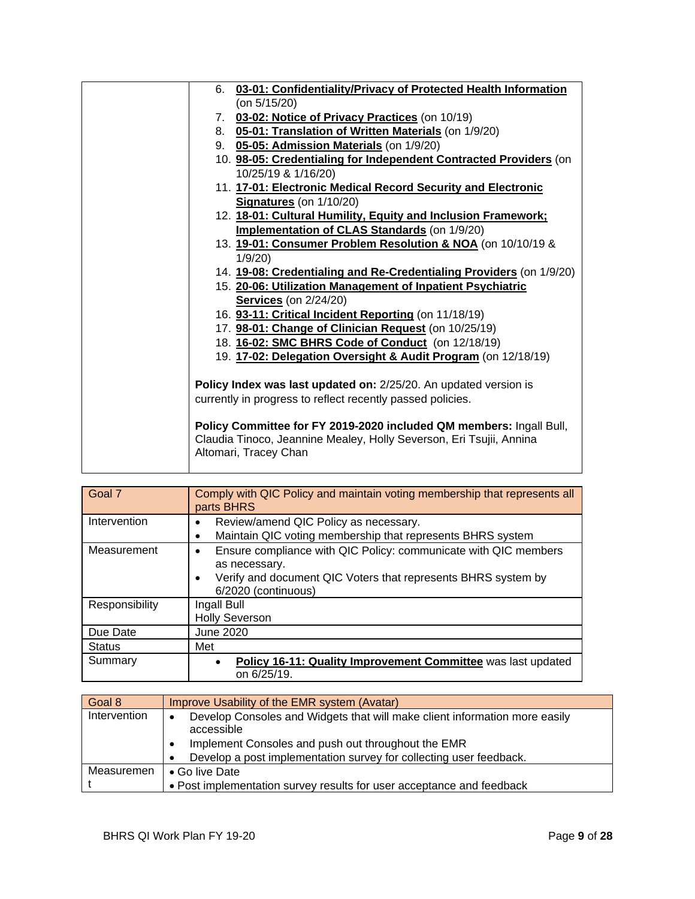| 6. 03-01: Confidentiality/Privacy of Protected Health Information   |
|---------------------------------------------------------------------|
| (on $5/15/20$ )                                                     |
| 7. 03-02: Notice of Privacy Practices (on 10/19)                    |
| 8. 05-01: Translation of Written Materials (on 1/9/20)              |
| 9. 05-05: Admission Materials (on 1/9/20)                           |
| 10. 98-05: Credentialing for Independent Contracted Providers (on   |
| 10/25/19 & 1/16/20)                                                 |
| 11. 17-01: Electronic Medical Record Security and Electronic        |
| Signatures (on 1/10/20)                                             |
| 12. 18-01: Cultural Humility, Equity and Inclusion Framework;       |
| <b>Implementation of CLAS Standards (on 1/9/20)</b>                 |
| 13. 19-01: Consumer Problem Resolution & NOA (on 10/10/19 &         |
| 1/9/20                                                              |
| 14. 19-08: Credentialing and Re-Credentialing Providers (on 1/9/20) |
| 15. 20-06: Utilization Management of Inpatient Psychiatric          |
| <b>Services</b> (on 2/24/20)                                        |
| 16. 93-11: Critical Incident Reporting (on 11/18/19)                |
| 17. 98-01: Change of Clinician Request (on 10/25/19)                |
| 18. 16-02: SMC BHRS Code of Conduct (on 12/18/19)                   |
| 19. 17-02: Delegation Oversight & Audit Program (on 12/18/19)       |
|                                                                     |
| Policy Index was last updated on: 2/25/20. An updated version is    |
| currently in progress to reflect recently passed policies.          |
|                                                                     |
| Policy Committee for FY 2019-2020 included QM members: Ingall Bull, |
| Claudia Tinoco, Jeannine Mealey, Holly Severson, Eri Tsujii, Annina |
| Altomari, Tracey Chan                                               |
|                                                                     |

| Goal 7         | Comply with QIC Policy and maintain voting membership that represents all<br>parts BHRS                                                                                                            |
|----------------|----------------------------------------------------------------------------------------------------------------------------------------------------------------------------------------------------|
| Intervention   | Review/amend QIC Policy as necessary.<br>Maintain QIC voting membership that represents BHRS system                                                                                                |
| Measurement    | Ensure compliance with QIC Policy: communicate with QIC members<br>$\bullet$<br>as necessary.<br>Verify and document QIC Voters that represents BHRS system by<br>$\bullet$<br>6/2020 (continuous) |
| Responsibility | Ingall Bull<br><b>Holly Severson</b>                                                                                                                                                               |
| Due Date       | June 2020                                                                                                                                                                                          |
| <b>Status</b>  | Met                                                                                                                                                                                                |
| Summary        | Policy 16-11: Quality Improvement Committee was last updated<br>on 6/25/19.                                                                                                                        |

| Goal 8       | Improve Usability of the EMR system (Avatar)                                                                                                                                                                                                                |
|--------------|-------------------------------------------------------------------------------------------------------------------------------------------------------------------------------------------------------------------------------------------------------------|
| Intervention | Develop Consoles and Widgets that will make client information more easily<br>$\bullet$<br>accessible<br>Implement Consoles and push out throughout the EMR<br>$\bullet$<br>Develop a post implementation survey for collecting user feedback.<br>$\bullet$ |
| Measuremen   | • Go live Date<br>• Post implementation survey results for user acceptance and feedback                                                                                                                                                                     |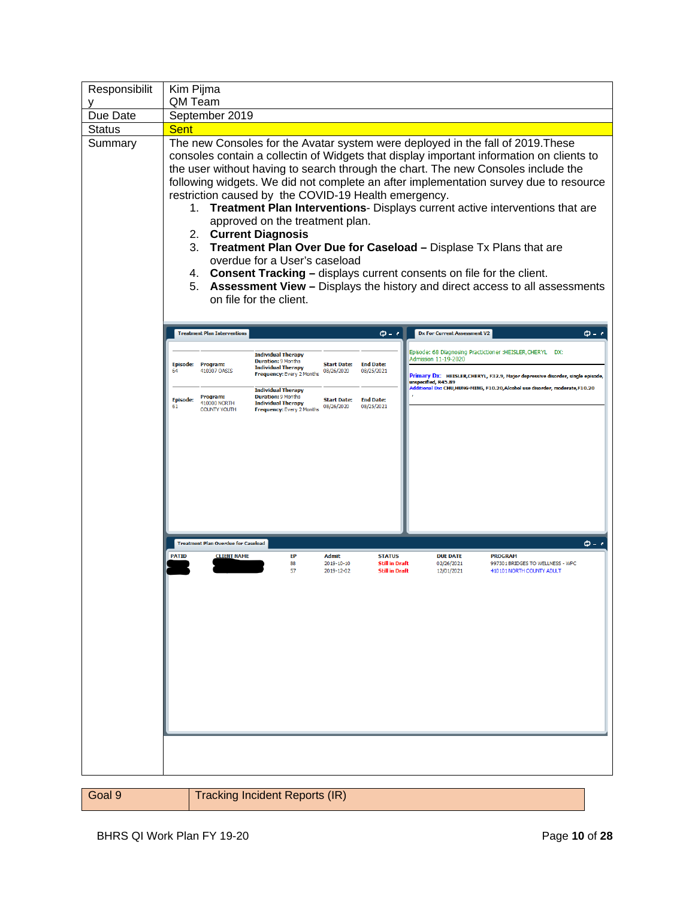| Responsibilit | Kim Pijma                                                                                                                                                                                                                                                                                                                                                                                                                                                                                                                                                                                                                                                                                                                                                                                                                                                              |
|---------------|------------------------------------------------------------------------------------------------------------------------------------------------------------------------------------------------------------------------------------------------------------------------------------------------------------------------------------------------------------------------------------------------------------------------------------------------------------------------------------------------------------------------------------------------------------------------------------------------------------------------------------------------------------------------------------------------------------------------------------------------------------------------------------------------------------------------------------------------------------------------|
|               | QM Team                                                                                                                                                                                                                                                                                                                                                                                                                                                                                                                                                                                                                                                                                                                                                                                                                                                                |
| Due Date      | September 2019                                                                                                                                                                                                                                                                                                                                                                                                                                                                                                                                                                                                                                                                                                                                                                                                                                                         |
| <b>Status</b> | <b>Sent</b>                                                                                                                                                                                                                                                                                                                                                                                                                                                                                                                                                                                                                                                                                                                                                                                                                                                            |
| Summary       | The new Consoles for the Avatar system were deployed in the fall of 2019. These<br>consoles contain a collectin of Widgets that display important information on clients to<br>the user without having to search through the chart. The new Consoles include the<br>following widgets. We did not complete an after implementation survey due to resource<br>restriction caused by the COVID-19 Health emergency.<br>1. Treatment Plan Interventions- Displays current active interventions that are<br>approved on the treatment plan.<br>2. Current Diagnosis<br>3.<br>Treatment Plan Over Due for Caseload - Displase Tx Plans that are<br>overdue for a User's caseload<br>4. Consent Tracking - displays current consents on file for the client.<br>Assessment View - Displays the history and direct access to all assessments<br>5.<br>on file for the client. |
|               | <b>Treatment Plan Interventions</b><br>$\bm{\phi}$ - $\bm{\epsilon}$<br><b>Dx For Current Assessment V2</b><br>$\phi$ - $\epsilon$                                                                                                                                                                                                                                                                                                                                                                                                                                                                                                                                                                                                                                                                                                                                     |
|               | Episode: 68 Diagnosing Practictioner :HEISLER, CHERYL<br>DX:<br><b>Individual Therapy</b><br>Admission 11-19-2020<br><b>Duration: 9 Months</b><br><b>Start Date:</b><br><b>End Date:</b><br>Episode: Program:<br><b>Individual Therapy</b><br>410307 OASIS<br>08/25/2021<br>64                                                                                                                                                                                                                                                                                                                                                                                                                                                                                                                                                                                         |
|               | 08/26/2020<br>Frequency: Every 2 Months<br>Primary Dx: HEISLER, CHERYL, F32.9, Major depressive disorder, single episode,<br>unspecified, R45.89<br>Additional Dx: CHU,HUNG-MING, F10.20,Alcohol use disorder, moderate,F10.20<br><b>Individual Therapy</b><br>Program:<br><b>Duration: 9 Months</b><br><b>End Date:</b>                                                                                                                                                                                                                                                                                                                                                                                                                                                                                                                                               |
|               | <b>Episode:</b><br><b>Start Date:</b><br>410000 NORTH<br><b>Individual Therapy</b><br>08/26/2020<br>08/25/2021<br>61<br>Frequency: Every 2 Months<br><b>COUNTY YOUTH</b>                                                                                                                                                                                                                                                                                                                                                                                                                                                                                                                                                                                                                                                                                               |
|               | $\phi - \epsilon$<br><b>Treatment Plan Overdue for Caseload</b><br><b>PATID</b><br><b>CLIENT NAME</b><br>EP<br><b>Admit</b><br><b>STATUS</b><br><b>DUE DATE</b><br><b>PROGRAM</b><br>88<br>2019-10-10<br><b>Still in Draft</b><br>02/26/2021<br>997301 BRIDGES TO WELLNESS - WPC<br>57<br>2019-12-02<br><b>Still in Draft</b><br>12/01/2021<br>410101 NORTH COUNTY ADULT                                                                                                                                                                                                                                                                                                                                                                                                                                                                                               |
|               |                                                                                                                                                                                                                                                                                                                                                                                                                                                                                                                                                                                                                                                                                                                                                                                                                                                                        |

| l Goal 9 | Tracking Incident Reports (IR) |
|----------|--------------------------------|
|          |                                |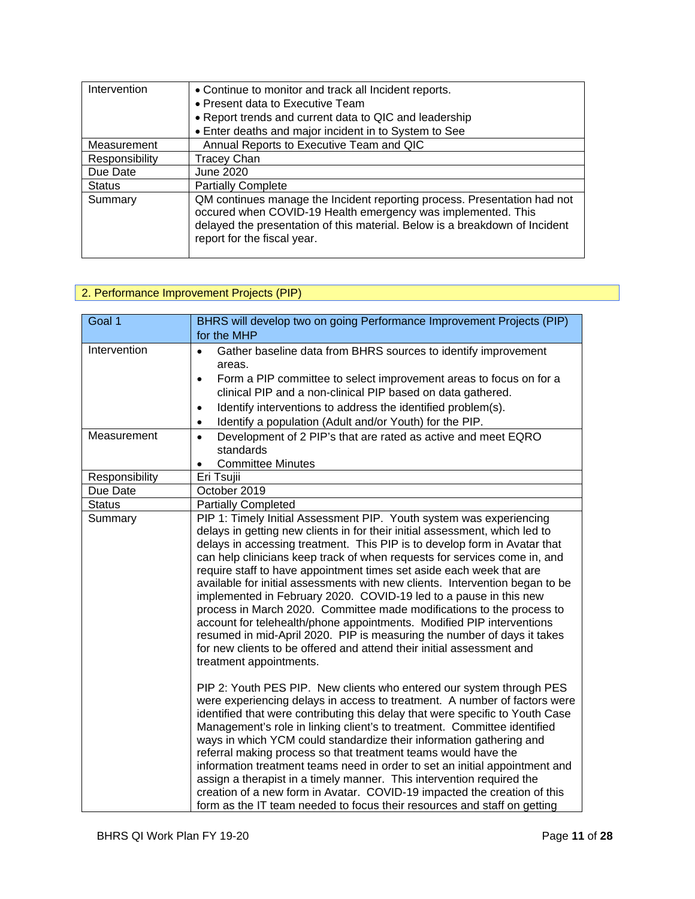| Intervention   | • Continue to monitor and track all Incident reports.                                                                                                                                                                                                  |
|----------------|--------------------------------------------------------------------------------------------------------------------------------------------------------------------------------------------------------------------------------------------------------|
|                | • Present data to Executive Team                                                                                                                                                                                                                       |
|                | • Report trends and current data to QIC and leadership                                                                                                                                                                                                 |
|                | • Enter deaths and major incident in to System to See                                                                                                                                                                                                  |
| Measurement    | Annual Reports to Executive Team and QIC                                                                                                                                                                                                               |
| Responsibility | <b>Tracey Chan</b>                                                                                                                                                                                                                                     |
| Due Date       | <b>June 2020</b>                                                                                                                                                                                                                                       |
| <b>Status</b>  | <b>Partially Complete</b>                                                                                                                                                                                                                              |
| Summary        | QM continues manage the Incident reporting process. Presentation had not<br>occured when COVID-19 Health emergency was implemented. This<br>delayed the presentation of this material. Below is a breakdown of Incident<br>report for the fiscal year. |

## 2. Performance Improvement Projects (PIP)

| Goal 1         | BHRS will develop two on going Performance Improvement Projects (PIP)                                                                                                                                                                                                                                                                                                                                                                                                                                                                                                                                                                                                                                                                                                                                                                                                      |
|----------------|----------------------------------------------------------------------------------------------------------------------------------------------------------------------------------------------------------------------------------------------------------------------------------------------------------------------------------------------------------------------------------------------------------------------------------------------------------------------------------------------------------------------------------------------------------------------------------------------------------------------------------------------------------------------------------------------------------------------------------------------------------------------------------------------------------------------------------------------------------------------------|
|                | for the MHP                                                                                                                                                                                                                                                                                                                                                                                                                                                                                                                                                                                                                                                                                                                                                                                                                                                                |
| Intervention   | Gather baseline data from BHRS sources to identify improvement<br>$\bullet$<br>areas.<br>Form a PIP committee to select improvement areas to focus on for a<br>$\bullet$<br>clinical PIP and a non-clinical PIP based on data gathered.<br>Identify interventions to address the identified problem(s).<br>$\bullet$<br>Identify a population (Adult and/or Youth) for the PIP.<br>$\bullet$                                                                                                                                                                                                                                                                                                                                                                                                                                                                               |
| Measurement    | Development of 2 PIP's that are rated as active and meet EQRO<br>$\bullet$<br>standards<br><b>Committee Minutes</b><br>$\bullet$                                                                                                                                                                                                                                                                                                                                                                                                                                                                                                                                                                                                                                                                                                                                           |
| Responsibility | Eri Tsujii                                                                                                                                                                                                                                                                                                                                                                                                                                                                                                                                                                                                                                                                                                                                                                                                                                                                 |
| Due Date       | October 2019                                                                                                                                                                                                                                                                                                                                                                                                                                                                                                                                                                                                                                                                                                                                                                                                                                                               |
| <b>Status</b>  | <b>Partially Completed</b>                                                                                                                                                                                                                                                                                                                                                                                                                                                                                                                                                                                                                                                                                                                                                                                                                                                 |
| Summary        | PIP 1: Timely Initial Assessment PIP. Youth system was experiencing<br>delays in getting new clients in for their initial assessment, which led to<br>delays in accessing treatment. This PIP is to develop form in Avatar that<br>can help clinicians keep track of when requests for services come in, and<br>require staff to have appointment times set aside each week that are<br>available for initial assessments with new clients. Intervention began to be<br>implemented in February 2020. COVID-19 led to a pause in this new<br>process in March 2020. Committee made modifications to the process to<br>account for telehealth/phone appointments. Modified PIP interventions<br>resumed in mid-April 2020. PIP is measuring the number of days it takes<br>for new clients to be offered and attend their initial assessment and<br>treatment appointments. |
|                | PIP 2: Youth PES PIP. New clients who entered our system through PES<br>were experiencing delays in access to treatment. A number of factors were<br>identified that were contributing this delay that were specific to Youth Case<br>Management's role in linking client's to treatment. Committee identified<br>ways in which YCM could standardize their information gathering and<br>referral making process so that treatment teams would have the<br>information treatment teams need in order to set an initial appointment and<br>assign a therapist in a timely manner. This intervention required the<br>creation of a new form in Avatar. COVID-19 impacted the creation of this<br>form as the IT team needed to focus their resources and staff on getting                                                                                                    |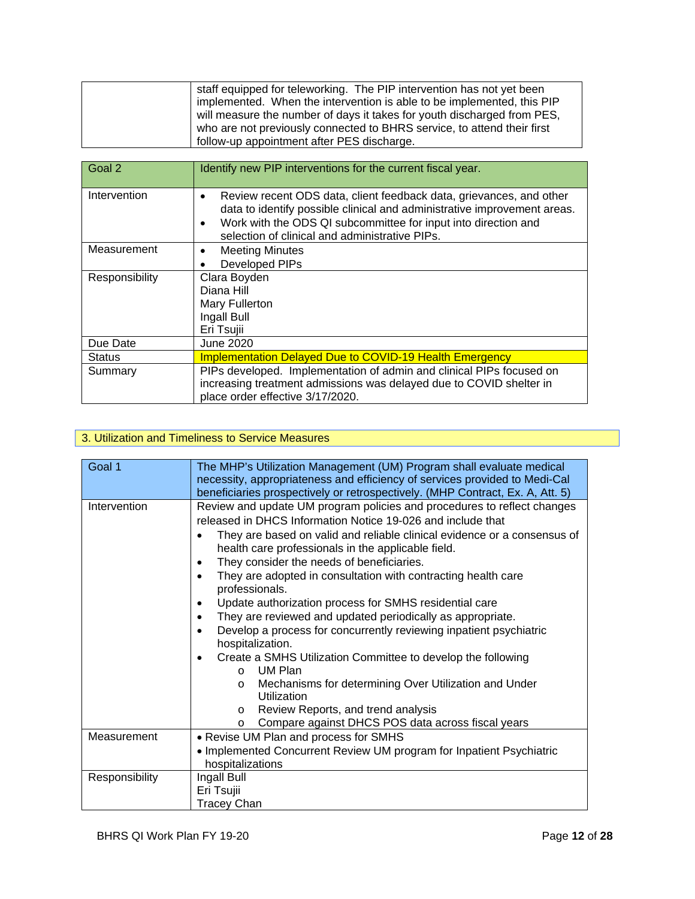| staff equipped for teleworking. The PIP intervention has not yet been   |
|-------------------------------------------------------------------------|
| implemented. When the intervention is able to be implemented, this PIP  |
| will measure the number of days it takes for youth discharged from PES, |
| who are not previously connected to BHRS service, to attend their first |
| follow-up appointment after PES discharge.                              |

| Goal 2         | Identify new PIP interventions for the current fiscal year.                                                                                                                                                                                                                                   |
|----------------|-----------------------------------------------------------------------------------------------------------------------------------------------------------------------------------------------------------------------------------------------------------------------------------------------|
| Intervention   | Review recent ODS data, client feedback data, grievances, and other<br>$\bullet$<br>data to identify possible clinical and administrative improvement areas.<br>Work with the ODS QI subcommittee for input into direction and<br>$\bullet$<br>selection of clinical and administrative PIPs. |
| Measurement    | <b>Meeting Minutes</b><br>$\bullet$                                                                                                                                                                                                                                                           |
|                | <b>Developed PIPs</b>                                                                                                                                                                                                                                                                         |
| Responsibility | Clara Boyden                                                                                                                                                                                                                                                                                  |
|                | Diana Hill                                                                                                                                                                                                                                                                                    |
|                | Mary Fullerton                                                                                                                                                                                                                                                                                |
|                | Ingall Bull                                                                                                                                                                                                                                                                                   |
|                | Eri Tsujii                                                                                                                                                                                                                                                                                    |
| Due Date       | June 2020                                                                                                                                                                                                                                                                                     |
| <b>Status</b>  | <b>Implementation Delayed Due to COVID-19 Health Emergency</b>                                                                                                                                                                                                                                |
| Summary        | PIPs developed. Implementation of admin and clinical PIPs focused on<br>increasing treatment admissions was delayed due to COVID shelter in<br>place order effective 3/17/2020.                                                                                                               |

## 3. Utilization and Timeliness to Service Measures

| Goal 1         | The MHP's Utilization Management (UM) Program shall evaluate medical<br>necessity, appropriateness and efficiency of services provided to Medi-Cal<br>beneficiaries prospectively or retrospectively. (MHP Contract, Ex. A, Att. 5)                                                                                                                                                                                                                                                                                                                                                                                                                                                                                                                                                                                                                                                                                                                            |
|----------------|----------------------------------------------------------------------------------------------------------------------------------------------------------------------------------------------------------------------------------------------------------------------------------------------------------------------------------------------------------------------------------------------------------------------------------------------------------------------------------------------------------------------------------------------------------------------------------------------------------------------------------------------------------------------------------------------------------------------------------------------------------------------------------------------------------------------------------------------------------------------------------------------------------------------------------------------------------------|
| Intervention   | Review and update UM program policies and procedures to reflect changes<br>released in DHCS Information Notice 19-026 and include that<br>They are based on valid and reliable clinical evidence or a consensus of<br>health care professionals in the applicable field.<br>They consider the needs of beneficiaries.<br>٠<br>They are adopted in consultation with contracting health care<br>professionals.<br>Update authorization process for SMHS residential care<br>$\bullet$<br>They are reviewed and updated periodically as appropriate.<br>٠<br>Develop a process for concurrently reviewing inpatient psychiatric<br>٠<br>hospitalization.<br>Create a SMHS Utilization Committee to develop the following<br>$\bullet$<br>UM Plan<br>$\Omega$<br>Mechanisms for determining Over Utilization and Under<br>$\circ$<br>Utilization<br>Review Reports, and trend analysis<br>$\circ$<br>Compare against DHCS POS data across fiscal years<br>$\circ$ |
| Measurement    | • Revise UM Plan and process for SMHS<br>• Implemented Concurrent Review UM program for Inpatient Psychiatric<br>hospitalizations                                                                                                                                                                                                                                                                                                                                                                                                                                                                                                                                                                                                                                                                                                                                                                                                                              |
| Responsibility | Ingall Bull<br>Eri Tsujii<br><b>Tracey Chan</b>                                                                                                                                                                                                                                                                                                                                                                                                                                                                                                                                                                                                                                                                                                                                                                                                                                                                                                                |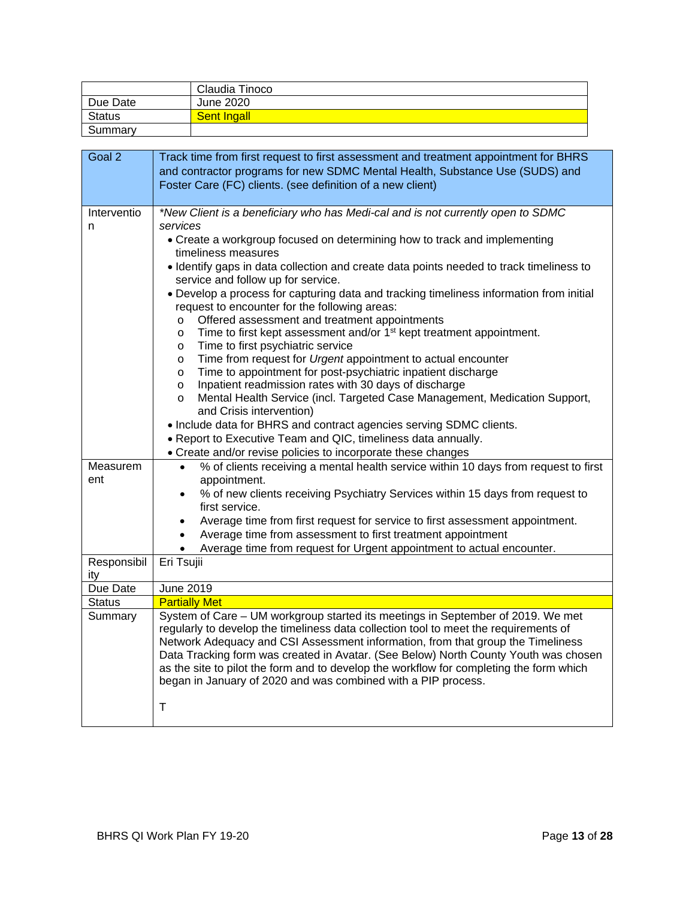|               | Claudia Tinoco     |
|---------------|--------------------|
| Due Date      | June 2020          |
| <b>Status</b> | <b>Sent Ingall</b> |
| Summary       |                    |

| Goal 2                                                                                                                        | Track time from first request to first assessment and treatment appointment for BHRS                                                                                    |
|-------------------------------------------------------------------------------------------------------------------------------|-------------------------------------------------------------------------------------------------------------------------------------------------------------------------|
|                                                                                                                               | and contractor programs for new SDMC Mental Health, Substance Use (SUDS) and                                                                                            |
|                                                                                                                               | Foster Care (FC) clients. (see definition of a new client)                                                                                                              |
|                                                                                                                               |                                                                                                                                                                         |
| Interventio                                                                                                                   | *New Client is a beneficiary who has Medi-cal and is not currently open to SDMC                                                                                         |
| n                                                                                                                             | services                                                                                                                                                                |
|                                                                                                                               | • Create a workgroup focused on determining how to track and implementing<br>timeliness measures                                                                        |
|                                                                                                                               | . Identify gaps in data collection and create data points needed to track timeliness to                                                                                 |
|                                                                                                                               | service and follow up for service.                                                                                                                                      |
|                                                                                                                               | • Develop a process for capturing data and tracking timeliness information from initial                                                                                 |
|                                                                                                                               | request to encounter for the following areas:                                                                                                                           |
|                                                                                                                               | Offered assessment and treatment appointments<br>$\circ$                                                                                                                |
|                                                                                                                               | Time to first kept assessment and/or 1 <sup>st</sup> kept treatment appointment.<br>$\circ$<br>Time to first psychiatric service<br>$\circ$                             |
|                                                                                                                               | Time from request for Urgent appointment to actual encounter<br>$\circ$                                                                                                 |
|                                                                                                                               | Time to appointment for post-psychiatric inpatient discharge<br>$\circ$                                                                                                 |
|                                                                                                                               | Inpatient readmission rates with 30 days of discharge<br>$\circ$                                                                                                        |
|                                                                                                                               | Mental Health Service (incl. Targeted Case Management, Medication Support,<br>$\circ$                                                                                   |
|                                                                                                                               | and Crisis intervention)                                                                                                                                                |
|                                                                                                                               | • Include data for BHRS and contract agencies serving SDMC clients.                                                                                                     |
| . Report to Executive Team and QIC, timeliness data annually.<br>• Create and/or revise policies to incorporate these changes |                                                                                                                                                                         |
| Measurem                                                                                                                      | % of clients receiving a mental health service within 10 days from request to first<br>$\bullet$                                                                        |
| ent                                                                                                                           | appointment.                                                                                                                                                            |
|                                                                                                                               | % of new clients receiving Psychiatry Services within 15 days from request to                                                                                           |
|                                                                                                                               | first service.                                                                                                                                                          |
|                                                                                                                               | Average time from first request for service to first assessment appointment.                                                                                            |
|                                                                                                                               | Average time from assessment to first treatment appointment                                                                                                             |
|                                                                                                                               | Average time from request for Urgent appointment to actual encounter.                                                                                                   |
| Responsibil<br>ity                                                                                                            | Eri Tsujii                                                                                                                                                              |
| Due Date                                                                                                                      | June 2019                                                                                                                                                               |
| <b>Status</b>                                                                                                                 | <b>Partially Met</b>                                                                                                                                                    |
| Summary                                                                                                                       | System of Care - UM workgroup started its meetings in September of 2019. We met                                                                                         |
|                                                                                                                               | regularly to develop the timeliness data collection tool to meet the requirements of<br>Network Adequacy and CSI Assessment information, from that group the Timeliness |
|                                                                                                                               | Data Tracking form was created in Avatar. (See Below) North County Youth was chosen                                                                                     |
|                                                                                                                               | as the site to pilot the form and to develop the workflow for completing the form which                                                                                 |
|                                                                                                                               | began in January of 2020 and was combined with a PIP process.                                                                                                           |
|                                                                                                                               | Τ                                                                                                                                                                       |
|                                                                                                                               |                                                                                                                                                                         |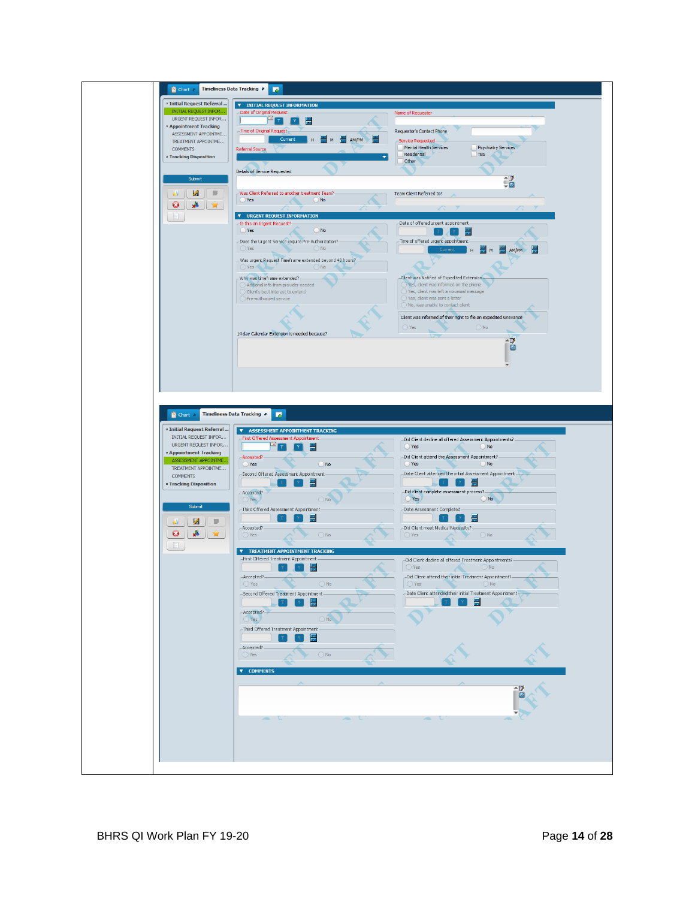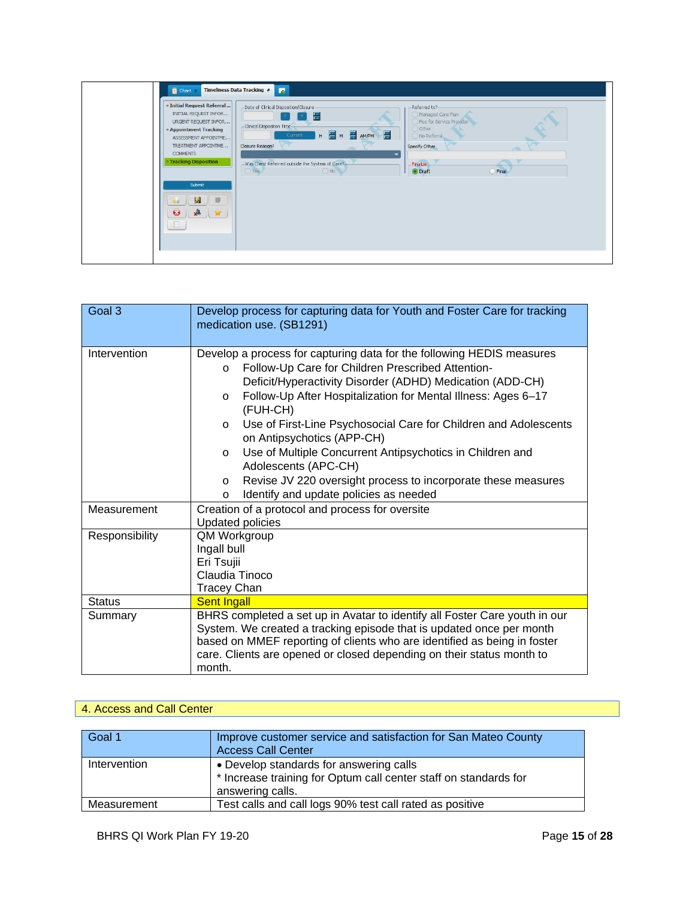| $\mathbf{E}$<br>Timeliness Data Tracking<br><b>E</b> Chart                                                                                                                                                                                                                                                                                                                                                                                                                                                                                                                                                                                                                                   |
|----------------------------------------------------------------------------------------------------------------------------------------------------------------------------------------------------------------------------------------------------------------------------------------------------------------------------------------------------------------------------------------------------------------------------------------------------------------------------------------------------------------------------------------------------------------------------------------------------------------------------------------------------------------------------------------------|
| <sup>o</sup> Initial Request Referral<br>-Date of Clinical Disposition/Closure<br>-Referred to?<br>INITIAL REQUEST INFOR<br>Managed Care Plan<br>畕<br>Fee for Service Provider<br>URGENT REQUEST INFOR<br>-Clinical Dispositon Time-<br>$()$ Other<br><sup>o</sup> Appointment Tracking<br>AM/PM<br>$H = \frac{1}{100} M$<br>Current<br>No Referral<br>ASSESSMENT APPOINTME<br>TREATMENT APPOINTME<br>Closure Reason?<br>Specify Other<br>-<br><b>COMMENTS</b><br><b>• Tracking Disposition</b><br>-Was Client Referred outside the System of Care?-<br>-Finalize-<br>$\overline{\bigcirc}$ Yes<br>ONO<br>O Draft<br>$O$ Final<br>Submit<br>$\mathbf{A}$<br>υ<br>多 一会<br>$\bullet$<br>$\Box$ |
|                                                                                                                                                                                                                                                                                                                                                                                                                                                                                                                                                                                                                                                                                              |

| Goal 3         | Develop process for capturing data for Youth and Foster Care for tracking<br>medication use. (SB1291)                                                                                                                                                                                                                                                                                                                                                                                                                                                                                                                                     |
|----------------|-------------------------------------------------------------------------------------------------------------------------------------------------------------------------------------------------------------------------------------------------------------------------------------------------------------------------------------------------------------------------------------------------------------------------------------------------------------------------------------------------------------------------------------------------------------------------------------------------------------------------------------------|
| Intervention   | Develop a process for capturing data for the following HEDIS measures<br>Follow-Up Care for Children Prescribed Attention-<br>$\Omega$<br>Deficit/Hyperactivity Disorder (ADHD) Medication (ADD-CH)<br>Follow-Up After Hospitalization for Mental Illness: Ages 6-17<br>$\circ$<br>(FUH-CH)<br>Use of First-Line Psychosocial Care for Children and Adolescents<br>$\circ$<br>on Antipsychotics (APP-CH)<br>Use of Multiple Concurrent Antipsychotics in Children and<br>$\circ$<br>Adolescents (APC-CH)<br>Revise JV 220 oversight process to incorporate these measures<br>$\circ$<br>Identify and update policies as needed<br>$\circ$ |
| Measurement    | Creation of a protocol and process for oversite<br><b>Updated policies</b>                                                                                                                                                                                                                                                                                                                                                                                                                                                                                                                                                                |
| Responsibility | QM Workgroup<br>Ingall bull<br>Eri Tsujii<br>Claudia Tinoco<br><b>Tracey Chan</b>                                                                                                                                                                                                                                                                                                                                                                                                                                                                                                                                                         |
| <b>Status</b>  | <b>Sent Ingall</b>                                                                                                                                                                                                                                                                                                                                                                                                                                                                                                                                                                                                                        |
| Summary        | BHRS completed a set up in Avatar to identify all Foster Care youth in our<br>System. We created a tracking episode that is updated once per month<br>based on MMEF reporting of clients who are identified as being in foster<br>care. Clients are opened or closed depending on their status month to<br>month.                                                                                                                                                                                                                                                                                                                         |

#### 4. Access and Call Center

| Goal 1       | Improve customer service and satisfaction for San Mateo County<br><b>Access Call Center</b>                                     |
|--------------|---------------------------------------------------------------------------------------------------------------------------------|
| Intervention | • Develop standards for answering calls<br>* Increase training for Optum call center staff on standards for<br>answering calls. |
| Measurement  | Test calls and call logs 90% test call rated as positive                                                                        |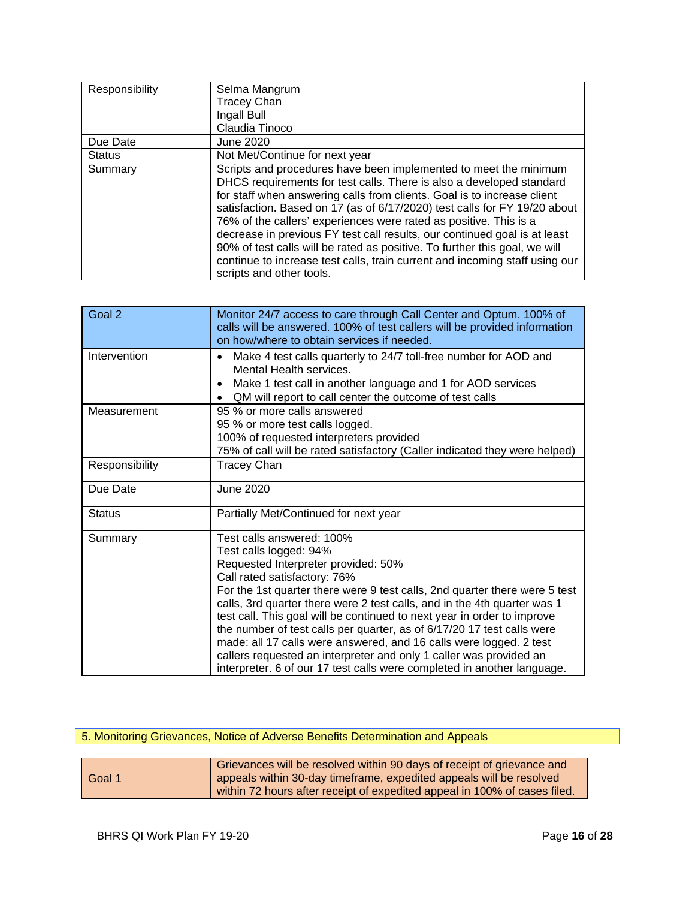| Responsibility | Selma Mangrum                                                                                                                                                                                                                                                                                                                                                                                                                                                                                                                                                                                                                               |
|----------------|---------------------------------------------------------------------------------------------------------------------------------------------------------------------------------------------------------------------------------------------------------------------------------------------------------------------------------------------------------------------------------------------------------------------------------------------------------------------------------------------------------------------------------------------------------------------------------------------------------------------------------------------|
|                | <b>Tracey Chan</b>                                                                                                                                                                                                                                                                                                                                                                                                                                                                                                                                                                                                                          |
|                | Ingall Bull                                                                                                                                                                                                                                                                                                                                                                                                                                                                                                                                                                                                                                 |
|                | Claudia Tinoco                                                                                                                                                                                                                                                                                                                                                                                                                                                                                                                                                                                                                              |
| Due Date       | June 2020                                                                                                                                                                                                                                                                                                                                                                                                                                                                                                                                                                                                                                   |
| <b>Status</b>  | Not Met/Continue for next year                                                                                                                                                                                                                                                                                                                                                                                                                                                                                                                                                                                                              |
| Summary        | Scripts and procedures have been implemented to meet the minimum<br>DHCS requirements for test calls. There is also a developed standard<br>for staff when answering calls from clients. Goal is to increase client<br>satisfaction. Based on 17 (as of 6/17/2020) test calls for FY 19/20 about<br>76% of the callers' experiences were rated as positive. This is a<br>decrease in previous FY test call results, our continued goal is at least<br>90% of test calls will be rated as positive. To further this goal, we will<br>continue to increase test calls, train current and incoming staff using our<br>scripts and other tools. |

| Goal 2         | Monitor 24/7 access to care through Call Center and Optum. 100% of<br>calls will be answered. 100% of test callers will be provided information<br>on how/where to obtain services if needed.                                                                                                                                                                                                                                                                                                                                                                                                                                                                    |
|----------------|------------------------------------------------------------------------------------------------------------------------------------------------------------------------------------------------------------------------------------------------------------------------------------------------------------------------------------------------------------------------------------------------------------------------------------------------------------------------------------------------------------------------------------------------------------------------------------------------------------------------------------------------------------------|
| Intervention   | Make 4 test calls quarterly to 24/7 toll-free number for AOD and<br>$\bullet$<br>Mental Health services.<br>Make 1 test call in another language and 1 for AOD services<br>$\bullet$<br>QM will report to call center the outcome of test calls<br>$\bullet$                                                                                                                                                                                                                                                                                                                                                                                                     |
| Measurement    | 95 % or more calls answered<br>95 % or more test calls logged.<br>100% of requested interpreters provided<br>75% of call will be rated satisfactory (Caller indicated they were helped)                                                                                                                                                                                                                                                                                                                                                                                                                                                                          |
| Responsibility | <b>Tracey Chan</b>                                                                                                                                                                                                                                                                                                                                                                                                                                                                                                                                                                                                                                               |
| Due Date       | June 2020                                                                                                                                                                                                                                                                                                                                                                                                                                                                                                                                                                                                                                                        |
| <b>Status</b>  | Partially Met/Continued for next year                                                                                                                                                                                                                                                                                                                                                                                                                                                                                                                                                                                                                            |
| Summary        | Test calls answered: 100%<br>Test calls logged: 94%<br>Requested Interpreter provided: 50%<br>Call rated satisfactory: 76%<br>For the 1st quarter there were 9 test calls, 2nd quarter there were 5 test<br>calls, 3rd quarter there were 2 test calls, and in the 4th quarter was 1<br>test call. This goal will be continued to next year in order to improve<br>the number of test calls per quarter, as of 6/17/20 17 test calls were<br>made: all 17 calls were answered, and 16 calls were logged. 2 test<br>callers requested an interpreter and only 1 caller was provided an<br>interpreter. 6 of our 17 test calls were completed in another language. |

|  | 5. Monitoring Grievances, Notice of Adverse Benefits Determination and Appeals |  |
|--|--------------------------------------------------------------------------------|--|
|--|--------------------------------------------------------------------------------|--|

|        | Grievances will be resolved within 90 days of receipt of grievance and    |
|--------|---------------------------------------------------------------------------|
| Goal 1 | appeals within 30-day timeframe, expedited appeals will be resolved       |
|        | within 72 hours after receipt of expedited appeal in 100% of cases filed. |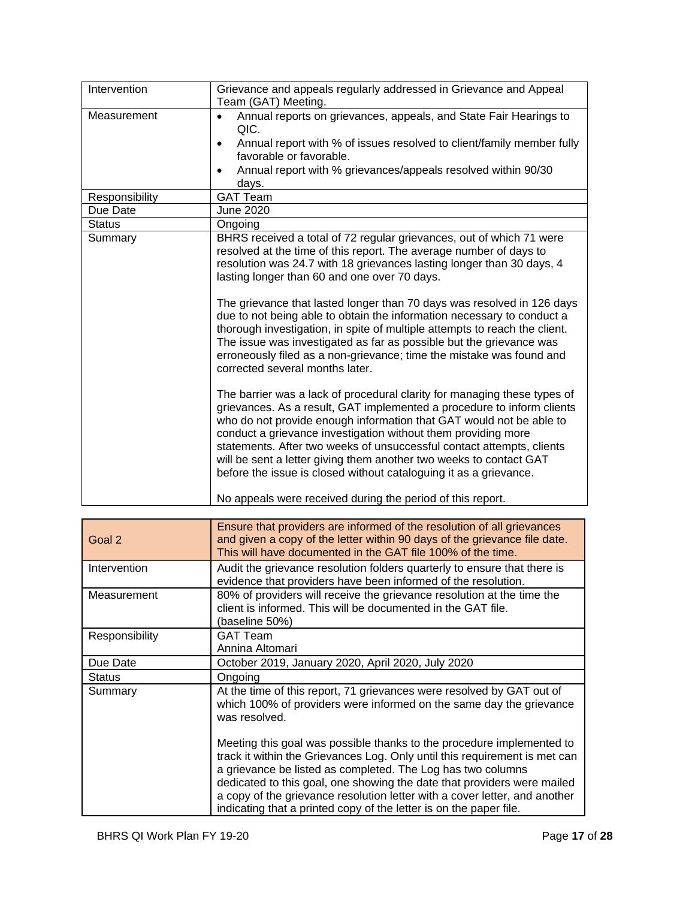| Intervention   | Grievance and appeals regularly addressed in Grievance and Appeal<br>Team (GAT) Meeting.                                                                                                                                                                                                                                                                                                                                                                                                                                                                                                                                                                                                                                                                                                                                                                                                                                                                                              |
|----------------|---------------------------------------------------------------------------------------------------------------------------------------------------------------------------------------------------------------------------------------------------------------------------------------------------------------------------------------------------------------------------------------------------------------------------------------------------------------------------------------------------------------------------------------------------------------------------------------------------------------------------------------------------------------------------------------------------------------------------------------------------------------------------------------------------------------------------------------------------------------------------------------------------------------------------------------------------------------------------------------|
| Measurement    | Annual reports on grievances, appeals, and State Fair Hearings to<br>$\bullet$<br>QIC.<br>Annual report with % of issues resolved to client/family member fully<br>$\bullet$<br>favorable or favorable.<br>Annual report with % grievances/appeals resolved within 90/30<br>٠<br>days.                                                                                                                                                                                                                                                                                                                                                                                                                                                                                                                                                                                                                                                                                                |
| Responsibility | <b>GAT Team</b>                                                                                                                                                                                                                                                                                                                                                                                                                                                                                                                                                                                                                                                                                                                                                                                                                                                                                                                                                                       |
| Due Date       | June 2020                                                                                                                                                                                                                                                                                                                                                                                                                                                                                                                                                                                                                                                                                                                                                                                                                                                                                                                                                                             |
| <b>Status</b>  | Ongoing                                                                                                                                                                                                                                                                                                                                                                                                                                                                                                                                                                                                                                                                                                                                                                                                                                                                                                                                                                               |
| Summary        | BHRS received a total of 72 regular grievances, out of which 71 were<br>resolved at the time of this report. The average number of days to<br>resolution was 24.7 with 18 grievances lasting longer than 30 days, 4<br>lasting longer than 60 and one over 70 days.<br>The grievance that lasted longer than 70 days was resolved in 126 days<br>due to not being able to obtain the information necessary to conduct a<br>thorough investigation, in spite of multiple attempts to reach the client.<br>The issue was investigated as far as possible but the grievance was<br>erroneously filed as a non-grievance; time the mistake was found and<br>corrected several months later.<br>The barrier was a lack of procedural clarity for managing these types of<br>grievances. As a result, GAT implemented a procedure to inform clients<br>who do not provide enough information that GAT would not be able to<br>conduct a grievance investigation without them providing more |
|                | statements. After two weeks of unsuccessful contact attempts, clients<br>will be sent a letter giving them another two weeks to contact GAT<br>before the issue is closed without cataloguing it as a grievance.<br>No appeals were received during the period of this report.                                                                                                                                                                                                                                                                                                                                                                                                                                                                                                                                                                                                                                                                                                        |

| Goal 2         | Ensure that providers are informed of the resolution of all grievances<br>and given a copy of the letter within 90 days of the grievance file date.<br>This will have documented in the GAT file 100% of the time.                                                                                                                                                                                                                                |
|----------------|---------------------------------------------------------------------------------------------------------------------------------------------------------------------------------------------------------------------------------------------------------------------------------------------------------------------------------------------------------------------------------------------------------------------------------------------------|
| Intervention   | Audit the grievance resolution folders quarterly to ensure that there is<br>evidence that providers have been informed of the resolution.                                                                                                                                                                                                                                                                                                         |
| Measurement    | 80% of providers will receive the grievance resolution at the time the<br>client is informed. This will be documented in the GAT file.<br>(baseline 50%)                                                                                                                                                                                                                                                                                          |
| Responsibility | <b>GAT Team</b><br>Annina Altomari                                                                                                                                                                                                                                                                                                                                                                                                                |
| Due Date       | October 2019, January 2020, April 2020, July 2020                                                                                                                                                                                                                                                                                                                                                                                                 |
| <b>Status</b>  | Ongoing                                                                                                                                                                                                                                                                                                                                                                                                                                           |
| Summary        | At the time of this report, 71 grievances were resolved by GAT out of<br>which 100% of providers were informed on the same day the grievance<br>was resolved.                                                                                                                                                                                                                                                                                     |
|                | Meeting this goal was possible thanks to the procedure implemented to<br>track it within the Grievances Log. Only until this requirement is met can<br>a grievance be listed as completed. The Log has two columns<br>dedicated to this goal, one showing the date that providers were mailed<br>a copy of the grievance resolution letter with a cover letter, and another<br>indicating that a printed copy of the letter is on the paper file. |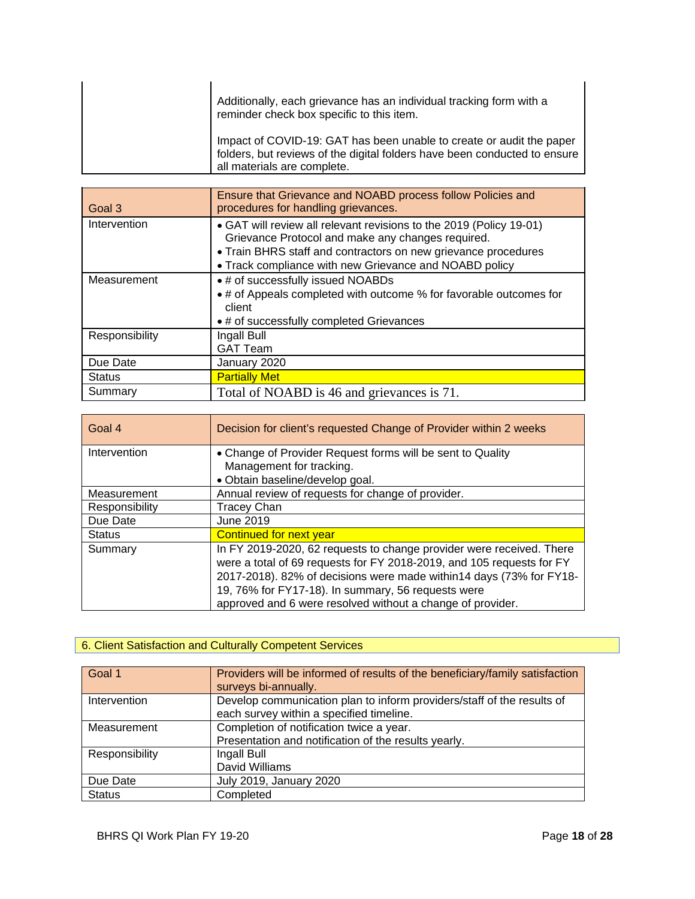|  | Additionally, each grievance has an individual tracking form with a<br>reminder check box specific to this item.                                                                 |
|--|----------------------------------------------------------------------------------------------------------------------------------------------------------------------------------|
|  | Impact of COVID-19: GAT has been unable to create or audit the paper<br>folders, but reviews of the digital folders have been conducted to ensure<br>all materials are complete. |

| Goal 3         | Ensure that Grievance and NOABD process follow Policies and<br>procedures for handling grievances.                                                                                                                                                   |
|----------------|------------------------------------------------------------------------------------------------------------------------------------------------------------------------------------------------------------------------------------------------------|
| Intervention   | • GAT will review all relevant revisions to the 2019 (Policy 19-01)<br>Grievance Protocol and make any changes required.<br>• Train BHRS staff and contractors on new grievance procedures<br>• Track compliance with new Grievance and NOABD policy |
| Measurement    | • # of successfully issued NOABDs<br>• # of Appeals completed with outcome % for favorable outcomes for<br>client<br>• # of successfully completed Grievances                                                                                        |
| Responsibility | Ingall Bull<br><b>GAT Team</b>                                                                                                                                                                                                                       |
| Due Date       | January 2020                                                                                                                                                                                                                                         |
| <b>Status</b>  | <b>Partially Met</b>                                                                                                                                                                                                                                 |
| Summary        | Total of NOABD is 46 and grievances is 71.                                                                                                                                                                                                           |

| Goal 4         | Decision for client's requested Change of Provider within 2 weeks                                                                                                                                                                                                                                                                        |  |  |  |
|----------------|------------------------------------------------------------------------------------------------------------------------------------------------------------------------------------------------------------------------------------------------------------------------------------------------------------------------------------------|--|--|--|
| Intervention   | • Change of Provider Request forms will be sent to Quality<br>Management for tracking.                                                                                                                                                                                                                                                   |  |  |  |
|                | • Obtain baseline/develop goal.                                                                                                                                                                                                                                                                                                          |  |  |  |
| Measurement    | Annual review of requests for change of provider.                                                                                                                                                                                                                                                                                        |  |  |  |
| Responsibility | <b>Tracey Chan</b>                                                                                                                                                                                                                                                                                                                       |  |  |  |
| Due Date       | June 2019                                                                                                                                                                                                                                                                                                                                |  |  |  |
| <b>Status</b>  | Continued for next year                                                                                                                                                                                                                                                                                                                  |  |  |  |
| Summary        | In FY 2019-2020, 62 requests to change provider were received. There<br>were a total of 69 requests for FY 2018-2019, and 105 requests for FY<br>2017-2018). 82% of decisions were made within14 days (73% for FY18-<br>19, 76% for FY17-18). In summary, 56 requests were<br>approved and 6 were resolved without a change of provider. |  |  |  |

## 6. Client Satisfaction and Culturally Competent Services

| Goal 1         | Providers will be informed of results of the beneficiary/family satisfaction<br>surveys bi-annually.               |
|----------------|--------------------------------------------------------------------------------------------------------------------|
| Intervention   | Develop communication plan to inform providers/staff of the results of<br>each survey within a specified timeline. |
| Measurement    | Completion of notification twice a year.                                                                           |
|                | Presentation and notification of the results yearly.                                                               |
| Responsibility | Ingall Bull                                                                                                        |
|                | David Williams                                                                                                     |
| Due Date       | July 2019, January 2020                                                                                            |
| <b>Status</b>  | Completed                                                                                                          |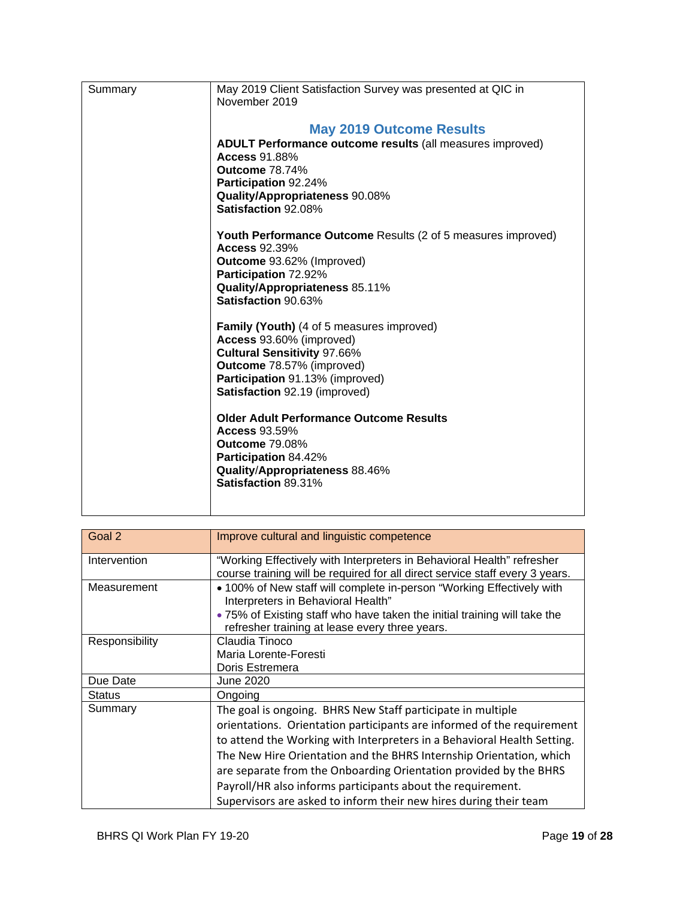| Summary | May 2019 Client Satisfaction Survey was presented at QIC in<br>November 2019         |
|---------|--------------------------------------------------------------------------------------|
|         | <b>May 2019 Outcome Results</b>                                                      |
|         | ADULT Performance outcome results (all measures improved)                            |
|         | <b>Access 91.88%</b>                                                                 |
|         | <b>Outcome 78.74%</b><br>Participation 92.24%                                        |
|         | Quality/Appropriateness 90.08%                                                       |
|         | Satisfaction 92.08%                                                                  |
|         | Youth Performance Outcome Results (2 of 5 measures improved)<br><b>Access 92.39%</b> |
|         | Outcome 93.62% (Improved)                                                            |
|         | Participation 72.92%                                                                 |
|         | Quality/Appropriateness 85.11%<br>Satisfaction 90.63%                                |
|         | <b>Family (Youth)</b> (4 of 5 measures improved)                                     |
|         | Access 93.60% (improved)                                                             |
|         | <b>Cultural Sensitivity 97.66%</b><br>Outcome 78.57% (improved)                      |
|         | Participation 91.13% (improved)                                                      |
|         | Satisfaction 92.19 (improved)                                                        |
|         | <b>Older Adult Performance Outcome Results</b>                                       |
|         | <b>Access 93.59%</b>                                                                 |
|         | <b>Outcome 79.08%</b><br>Participation 84.42%                                        |
|         | Quality/Appropriateness 88.46%                                                       |
|         | Satisfaction 89.31%                                                                  |
|         |                                                                                      |
|         |                                                                                      |

| Goal 2         | Improve cultural and linguistic competence                                                                                                             |
|----------------|--------------------------------------------------------------------------------------------------------------------------------------------------------|
| Intervention   | "Working Effectively with Interpreters in Behavioral Health" refresher<br>course training will be required for all direct service staff every 3 years. |
| Measurement    | • 100% of New staff will complete in-person "Working Effectively with<br>Interpreters in Behavioral Health"                                            |
|                | . 75% of Existing staff who have taken the initial training will take the<br>refresher training at lease every three years.                            |
| Responsibility | Claudia Tinoco                                                                                                                                         |
|                | Maria Lorente-Foresti                                                                                                                                  |
|                | Doris Estremera                                                                                                                                        |
| Due Date       | June 2020                                                                                                                                              |
| <b>Status</b>  | Ongoing                                                                                                                                                |
| Summary        | The goal is ongoing. BHRS New Staff participate in multiple                                                                                            |
|                | orientations. Orientation participants are informed of the requirement                                                                                 |
|                | to attend the Working with Interpreters in a Behavioral Health Setting.                                                                                |
|                | The New Hire Orientation and the BHRS Internship Orientation, which                                                                                    |
|                | are separate from the Onboarding Orientation provided by the BHRS                                                                                      |
|                | Payroll/HR also informs participants about the requirement.                                                                                            |
|                | Supervisors are asked to inform their new hires during their team                                                                                      |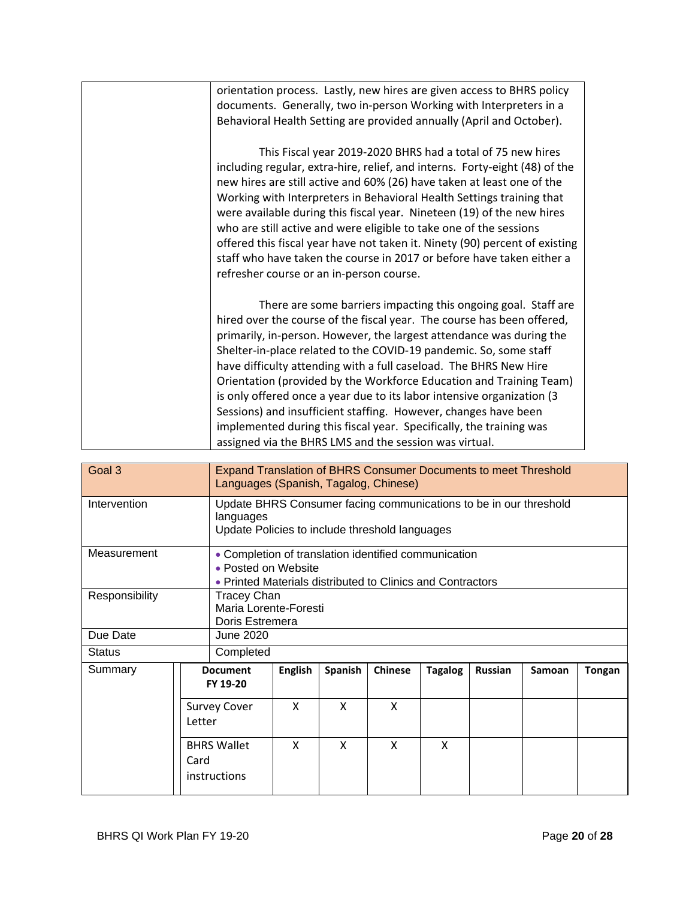| orientation process. Lastly, new hires are given access to BHRS policy      |
|-----------------------------------------------------------------------------|
| documents. Generally, two in-person Working with Interpreters in a          |
| Behavioral Health Setting are provided annually (April and October).        |
|                                                                             |
| This Fiscal year 2019-2020 BHRS had a total of 75 new hires                 |
| including regular, extra-hire, relief, and interns. Forty-eight (48) of the |
| new hires are still active and 60% (26) have taken at least one of the      |
| Working with Interpreters in Behavioral Health Settings training that       |
|                                                                             |
| were available during this fiscal year. Nineteen (19) of the new hires      |
| who are still active and were eligible to take one of the sessions          |
| offered this fiscal year have not taken it. Ninety (90) percent of existing |
| staff who have taken the course in 2017 or before have taken either a       |
| refresher course or an in-person course.                                    |
|                                                                             |
| There are some barriers impacting this ongoing goal. Staff are              |
| hired over the course of the fiscal year. The course has been offered,      |
| primarily, in-person. However, the largest attendance was during the        |
|                                                                             |
| Shelter-in-place related to the COVID-19 pandemic. So, some staff           |
| have difficulty attending with a full caseload. The BHRS New Hire           |
| Orientation (provided by the Workforce Education and Training Team)         |
| is only offered once a year due to its labor intensive organization (3      |
| Sessions) and insufficient staffing. However, changes have been             |
| implemented during this fiscal year. Specifically, the training was         |
| assigned via the BHRS LMS and the session was virtual.                      |
|                                                                             |

| Goal 3         |                               | <b>Expand Translation of BHRS Consumer Documents to meet Threshold</b><br>Languages (Spanish, Tagalog, Chinese) |                                                                                                                                           |         |                |                |                |        |        |
|----------------|-------------------------------|-----------------------------------------------------------------------------------------------------------------|-------------------------------------------------------------------------------------------------------------------------------------------|---------|----------------|----------------|----------------|--------|--------|
| Intervention   |                               | languages                                                                                                       | Update BHRS Consumer facing communications to be in our threshold<br>Update Policies to include threshold languages                       |         |                |                |                |        |        |
| Measurement    |                               |                                                                                                                 | • Completion of translation identified communication<br>• Posted on Website<br>• Printed Materials distributed to Clinics and Contractors |         |                |                |                |        |        |
| Responsibility |                               | Tracey Chan<br>Maria Lorente-Foresti<br>Doris Estremera                                                         |                                                                                                                                           |         |                |                |                |        |        |
| Due Date       |                               | June 2020                                                                                                       |                                                                                                                                           |         |                |                |                |        |        |
| <b>Status</b>  | Completed                     |                                                                                                                 |                                                                                                                                           |         |                |                |                |        |        |
| Summary        |                               | <b>Document</b><br>FY 19-20                                                                                     | <b>English</b>                                                                                                                            | Spanish | <b>Chinese</b> | <b>Tagalog</b> | <b>Russian</b> | Samoan | Tongan |
|                | <b>Survey Cover</b><br>Letter |                                                                                                                 | X                                                                                                                                         | X       | X              |                |                |        |        |
|                | Card                          | <b>BHRS Wallet</b><br>instructions                                                                              | X                                                                                                                                         | X       | X              | X              |                |        |        |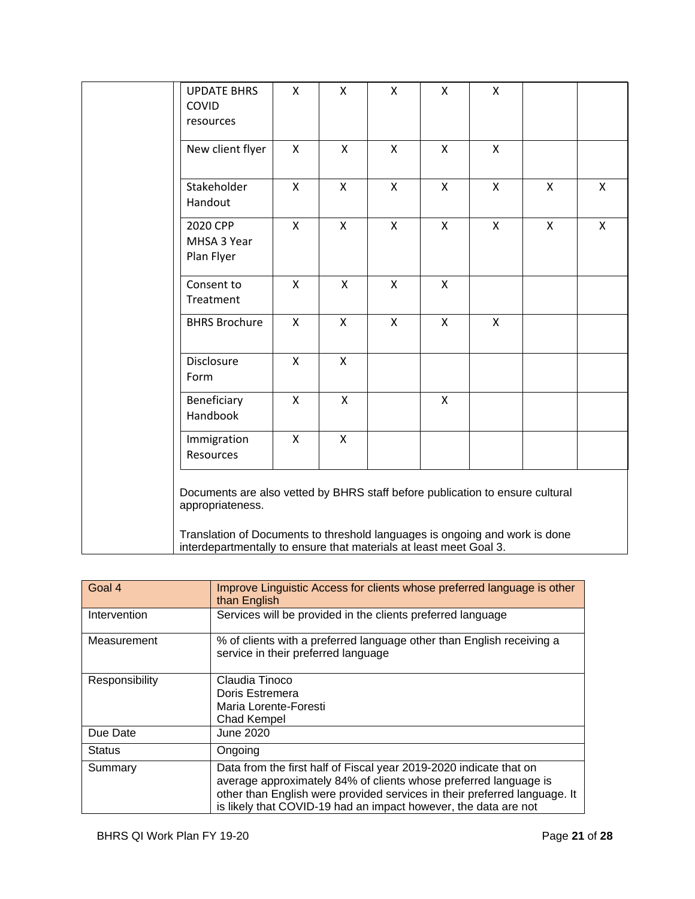| <b>UPDATE BHRS</b><br>COVID<br>resources                                                                                                                                         | Χ            | X            | $\boldsymbol{\mathsf{X}}$ | X            | X            |              |              |
|----------------------------------------------------------------------------------------------------------------------------------------------------------------------------------|--------------|--------------|---------------------------|--------------|--------------|--------------|--------------|
| New client flyer                                                                                                                                                                 | X            | $\mathsf{X}$ | $\mathsf{x}$              | X            | $\mathsf{x}$ |              |              |
| Stakeholder<br>Handout                                                                                                                                                           | $\mathsf{x}$ | $\mathsf{X}$ | $\mathsf{x}$              | $\mathsf{x}$ | $\mathsf{X}$ | $\mathsf{X}$ | $\mathsf{x}$ |
| 2020 CPP<br>MHSA 3 Year<br>Plan Flyer                                                                                                                                            | X            | $\mathsf{X}$ | $\pmb{\mathsf{X}}$        | $\mathsf{X}$ | $\mathsf{X}$ | $\mathsf{X}$ | X            |
| Consent to<br>Treatment                                                                                                                                                          | X            | X            | $\mathsf{X}$              | X            |              |              |              |
| <b>BHRS Brochure</b>                                                                                                                                                             | X            | $\mathsf{X}$ | $\mathsf{X}$              | $\mathsf{X}$ | $\mathsf{X}$ |              |              |
| <b>Disclosure</b><br>Form                                                                                                                                                        | X            | $\mathsf{X}$ |                           |              |              |              |              |
| Beneficiary<br>Handbook                                                                                                                                                          | X            | $\mathsf{X}$ |                           | X            |              |              |              |
| Immigration<br>Resources                                                                                                                                                         | X            | $\mathsf{X}$ |                           |              |              |              |              |
| Documents are also vetted by BHRS staff before publication to ensure cultural<br>appropriateness.<br>Translation of Documents to threshold languages is ongoing and work is done |              |              |                           |              |              |              |              |
| interdepartmentally to ensure that materials at least meet Goal 3.                                                                                                               |              |              |                           |              |              |              |              |

| Goal 4         | Improve Linguistic Access for clients whose preferred language is other<br>than English                                                                                                                                                                                                |
|----------------|----------------------------------------------------------------------------------------------------------------------------------------------------------------------------------------------------------------------------------------------------------------------------------------|
| Intervention   | Services will be provided in the clients preferred language                                                                                                                                                                                                                            |
| Measurement    | % of clients with a preferred language other than English receiving a<br>service in their preferred language                                                                                                                                                                           |
| Responsibility | Claudia Tinoco<br>Doris Estremera<br>Maria Lorente-Foresti<br>Chad Kempel                                                                                                                                                                                                              |
| Due Date       | June 2020                                                                                                                                                                                                                                                                              |
| <b>Status</b>  | Ongoing                                                                                                                                                                                                                                                                                |
| Summary        | Data from the first half of Fiscal year 2019-2020 indicate that on<br>average approximately 84% of clients whose preferred language is<br>other than English were provided services in their preferred language. It<br>is likely that COVID-19 had an impact however, the data are not |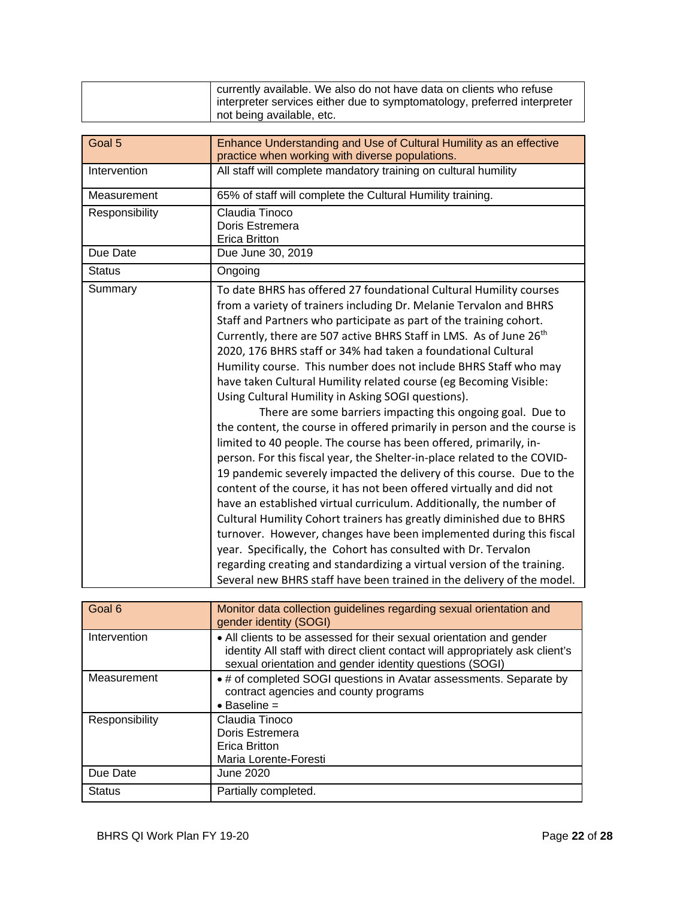|                | currently available. We also do not have data on clients who refuse<br>interpreter services either due to symptomatology, preferred interpreter<br>not being available, etc.                                                                                                                                                                                                                                                                                                                                                                                                                                                                                                                                                                                                                                                                                                                                                                                                                                                                                                                                                                                                                                                                                                                                                                                                                                                                               |
|----------------|------------------------------------------------------------------------------------------------------------------------------------------------------------------------------------------------------------------------------------------------------------------------------------------------------------------------------------------------------------------------------------------------------------------------------------------------------------------------------------------------------------------------------------------------------------------------------------------------------------------------------------------------------------------------------------------------------------------------------------------------------------------------------------------------------------------------------------------------------------------------------------------------------------------------------------------------------------------------------------------------------------------------------------------------------------------------------------------------------------------------------------------------------------------------------------------------------------------------------------------------------------------------------------------------------------------------------------------------------------------------------------------------------------------------------------------------------------|
|                |                                                                                                                                                                                                                                                                                                                                                                                                                                                                                                                                                                                                                                                                                                                                                                                                                                                                                                                                                                                                                                                                                                                                                                                                                                                                                                                                                                                                                                                            |
| Goal 5         | Enhance Understanding and Use of Cultural Humility as an effective<br>practice when working with diverse populations.                                                                                                                                                                                                                                                                                                                                                                                                                                                                                                                                                                                                                                                                                                                                                                                                                                                                                                                                                                                                                                                                                                                                                                                                                                                                                                                                      |
| Intervention   | All staff will complete mandatory training on cultural humility                                                                                                                                                                                                                                                                                                                                                                                                                                                                                                                                                                                                                                                                                                                                                                                                                                                                                                                                                                                                                                                                                                                                                                                                                                                                                                                                                                                            |
| Measurement    | 65% of staff will complete the Cultural Humility training.                                                                                                                                                                                                                                                                                                                                                                                                                                                                                                                                                                                                                                                                                                                                                                                                                                                                                                                                                                                                                                                                                                                                                                                                                                                                                                                                                                                                 |
| Responsibility | Claudia Tinoco<br>Doris Estremera<br><b>Erica Britton</b>                                                                                                                                                                                                                                                                                                                                                                                                                                                                                                                                                                                                                                                                                                                                                                                                                                                                                                                                                                                                                                                                                                                                                                                                                                                                                                                                                                                                  |
| Due Date       | Due June 30, 2019                                                                                                                                                                                                                                                                                                                                                                                                                                                                                                                                                                                                                                                                                                                                                                                                                                                                                                                                                                                                                                                                                                                                                                                                                                                                                                                                                                                                                                          |
| <b>Status</b>  | Ongoing                                                                                                                                                                                                                                                                                                                                                                                                                                                                                                                                                                                                                                                                                                                                                                                                                                                                                                                                                                                                                                                                                                                                                                                                                                                                                                                                                                                                                                                    |
| Summary        | To date BHRS has offered 27 foundational Cultural Humility courses<br>from a variety of trainers including Dr. Melanie Tervalon and BHRS<br>Staff and Partners who participate as part of the training cohort.<br>Currently, there are 507 active BHRS Staff in LMS. As of June 26 <sup>th</sup><br>2020, 176 BHRS staff or 34% had taken a foundational Cultural<br>Humility course. This number does not include BHRS Staff who may<br>have taken Cultural Humility related course (eg Becoming Visible:<br>Using Cultural Humility in Asking SOGI questions).<br>There are some barriers impacting this ongoing goal. Due to<br>the content, the course in offered primarily in person and the course is<br>limited to 40 people. The course has been offered, primarily, in-<br>person. For this fiscal year, the Shelter-in-place related to the COVID-<br>19 pandemic severely impacted the delivery of this course. Due to the<br>content of the course, it has not been offered virtually and did not<br>have an established virtual curriculum. Additionally, the number of<br>Cultural Humility Cohort trainers has greatly diminished due to BHRS<br>turnover. However, changes have been implemented during this fiscal<br>year. Specifically, the Cohort has consulted with Dr. Tervalon<br>regarding creating and standardizing a virtual version of the training.<br>Several new BHRS staff have been trained in the delivery of the model. |

| Goal 6         | Monitor data collection guidelines regarding sexual orientation and<br>gender identity (SOGI)                                                                                                                    |
|----------------|------------------------------------------------------------------------------------------------------------------------------------------------------------------------------------------------------------------|
| Intervention   | • All clients to be assessed for their sexual orientation and gender<br>identity All staff with direct client contact will appropriately ask client's<br>sexual orientation and gender identity questions (SOGI) |
| Measurement    | • # of completed SOGI questions in Avatar assessments. Separate by<br>contract agencies and county programs<br>$\bullet$ Baseline =                                                                              |
| Responsibility | Claudia Tinoco<br>Doris Estremera<br>Erica Britton<br>Maria Lorente-Foresti                                                                                                                                      |
| Due Date       | June 2020                                                                                                                                                                                                        |
| <b>Status</b>  | Partially completed.                                                                                                                                                                                             |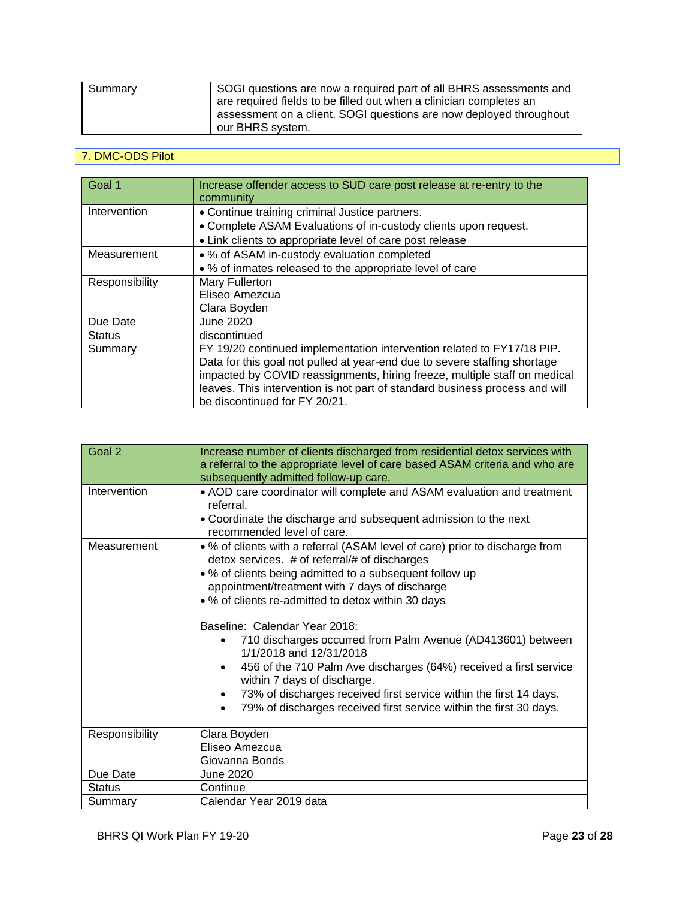| Summary | SOGI questions are now a required part of all BHRS assessments and |
|---------|--------------------------------------------------------------------|
|         | are required fields to be filled out when a clinician completes an |
|         | assessment on a client. SOGI questions are now deployed throughout |
|         | our BHRS system.                                                   |

## 7. DMC-ODS Pilot

| Goal 1         | Increase offender access to SUD care post release at re-entry to the<br>community |
|----------------|-----------------------------------------------------------------------------------|
| Intervention   | • Continue training criminal Justice partners.                                    |
|                | • Complete ASAM Evaluations of in-custody clients upon request.                   |
|                | • Link clients to appropriate level of care post release                          |
| Measurement    | • % of ASAM in-custody evaluation completed                                       |
|                | • % of inmates released to the appropriate level of care                          |
| Responsibility | Mary Fullerton                                                                    |
|                | Eliseo Amezcua                                                                    |
|                | Clara Boyden                                                                      |
| Due Date       | June 2020                                                                         |
| <b>Status</b>  | discontinued                                                                      |
| Summary        | FY 19/20 continued implementation intervention related to FY17/18 PIP.            |
|                | Data for this goal not pulled at year-end due to severe staffing shortage         |
|                | impacted by COVID reassignments, hiring freeze, multiple staff on medical         |
|                | leaves. This intervention is not part of standard business process and will       |
|                | be discontinued for FY 20/21.                                                     |

| Goal 2         | Increase number of clients discharged from residential detox services with<br>a referral to the appropriate level of care based ASAM criteria and who are<br>subsequently admitted follow-up care.                                                                                                                                                                                                                                                                                                                                                                                                                                                                                      |
|----------------|-----------------------------------------------------------------------------------------------------------------------------------------------------------------------------------------------------------------------------------------------------------------------------------------------------------------------------------------------------------------------------------------------------------------------------------------------------------------------------------------------------------------------------------------------------------------------------------------------------------------------------------------------------------------------------------------|
| Intervention   | • AOD care coordinator will complete and ASAM evaluation and treatment<br>referral.<br>• Coordinate the discharge and subsequent admission to the next<br>recommended level of care.                                                                                                                                                                                                                                                                                                                                                                                                                                                                                                    |
| Measurement    | • % of clients with a referral (ASAM level of care) prior to discharge from<br>detox services. # of referral/# of discharges<br>. % of clients being admitted to a subsequent follow up<br>appointment/treatment with 7 days of discharge<br>• % of clients re-admitted to detox within 30 days<br>Baseline: Calendar Year 2018:<br>710 discharges occurred from Palm Avenue (AD413601) between<br>1/1/2018 and 12/31/2018<br>456 of the 710 Palm Ave discharges (64%) received a first service<br>within 7 days of discharge.<br>73% of discharges received first service within the first 14 days.<br>79% of discharges received first service within the first 30 days.<br>$\bullet$ |
| Responsibility | Clara Boyden<br>Eliseo Amezcua<br>Giovanna Bonds                                                                                                                                                                                                                                                                                                                                                                                                                                                                                                                                                                                                                                        |
| Due Date       | June 2020                                                                                                                                                                                                                                                                                                                                                                                                                                                                                                                                                                                                                                                                               |
| <b>Status</b>  | Continue                                                                                                                                                                                                                                                                                                                                                                                                                                                                                                                                                                                                                                                                                |
| Summary        | Calendar Year 2019 data                                                                                                                                                                                                                                                                                                                                                                                                                                                                                                                                                                                                                                                                 |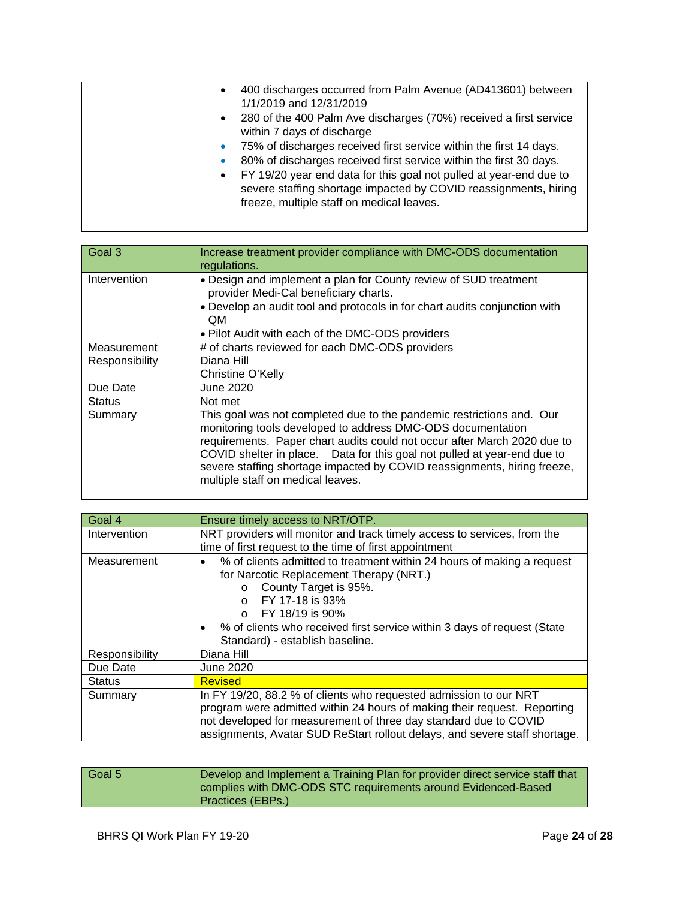| $\bullet$<br>$\bullet$<br>۰<br>$\bullet$ | 400 discharges occurred from Palm Avenue (AD413601) between<br>1/1/2019 and 12/31/2019<br>• 280 of the 400 Palm Ave discharges (70%) received a first service<br>within 7 days of discharge<br>75% of discharges received first service within the first 14 days.<br>80% of discharges received first service within the first 30 days.<br>FY 19/20 year end data for this goal not pulled at year-end due to<br>severe staffing shortage impacted by COVID reassignments, hiring<br>freeze, multiple staff on medical leaves. |
|------------------------------------------|--------------------------------------------------------------------------------------------------------------------------------------------------------------------------------------------------------------------------------------------------------------------------------------------------------------------------------------------------------------------------------------------------------------------------------------------------------------------------------------------------------------------------------|
|------------------------------------------|--------------------------------------------------------------------------------------------------------------------------------------------------------------------------------------------------------------------------------------------------------------------------------------------------------------------------------------------------------------------------------------------------------------------------------------------------------------------------------------------------------------------------------|

| Goal 3         | Increase treatment provider compliance with DMC-ODS documentation<br>regulations.                                                                                                                                                                                                                                                                                                                             |
|----------------|---------------------------------------------------------------------------------------------------------------------------------------------------------------------------------------------------------------------------------------------------------------------------------------------------------------------------------------------------------------------------------------------------------------|
| Intervention   | • Design and implement a plan for County review of SUD treatment<br>provider Medi-Cal beneficiary charts.<br>• Develop an audit tool and protocols in for chart audits conjunction with<br>QM.<br>• Pilot Audit with each of the DMC-ODS providers                                                                                                                                                            |
| Measurement    | # of charts reviewed for each DMC-ODS providers                                                                                                                                                                                                                                                                                                                                                               |
| Responsibility | Diana Hill<br>Christine O'Kelly                                                                                                                                                                                                                                                                                                                                                                               |
| Due Date       | June 2020                                                                                                                                                                                                                                                                                                                                                                                                     |
| <b>Status</b>  | Not met                                                                                                                                                                                                                                                                                                                                                                                                       |
| Summary        | This goal was not completed due to the pandemic restrictions and. Our<br>monitoring tools developed to address DMC-ODS documentation<br>requirements. Paper chart audits could not occur after March 2020 due to<br>COVID shelter in place. Data for this goal not pulled at year-end due to<br>severe staffing shortage impacted by COVID reassignments, hiring freeze,<br>multiple staff on medical leaves. |

| Goal 4         | Ensure timely access to NRT/OTP.                                           |
|----------------|----------------------------------------------------------------------------|
| Intervention   | NRT providers will monitor and track timely access to services, from the   |
|                | time of first request to the time of first appointment                     |
| Measurement    | % of clients admitted to treatment within 24 hours of making a request     |
|                | for Narcotic Replacement Therapy (NRT.)                                    |
|                | County Target is 95%.<br>$\circ$                                           |
|                | FY 17-18 is 93%                                                            |
|                | FY 18/19 is 90%                                                            |
|                | % of clients who received first service within 3 days of request (State    |
|                | Standard) - establish baseline.                                            |
| Responsibility | Diana Hill                                                                 |
| Due Date       | June 2020                                                                  |
| <b>Status</b>  | <b>Revised</b>                                                             |
| Summary        | In FY 19/20, 88.2 % of clients who requested admission to our NRT          |
|                | program were admitted within 24 hours of making their request. Reporting   |
|                | not developed for measurement of three day standard due to COVID           |
|                | assignments, Avatar SUD ReStart rollout delays, and severe staff shortage. |

| complies with DMC-ODS STC requirements around Evidenced-Based<br>Practices (EBPs.) | Develop and Implement a Training Plan for provider direct service staff that | Goal 5 |
|------------------------------------------------------------------------------------|------------------------------------------------------------------------------|--------|
|------------------------------------------------------------------------------------|------------------------------------------------------------------------------|--------|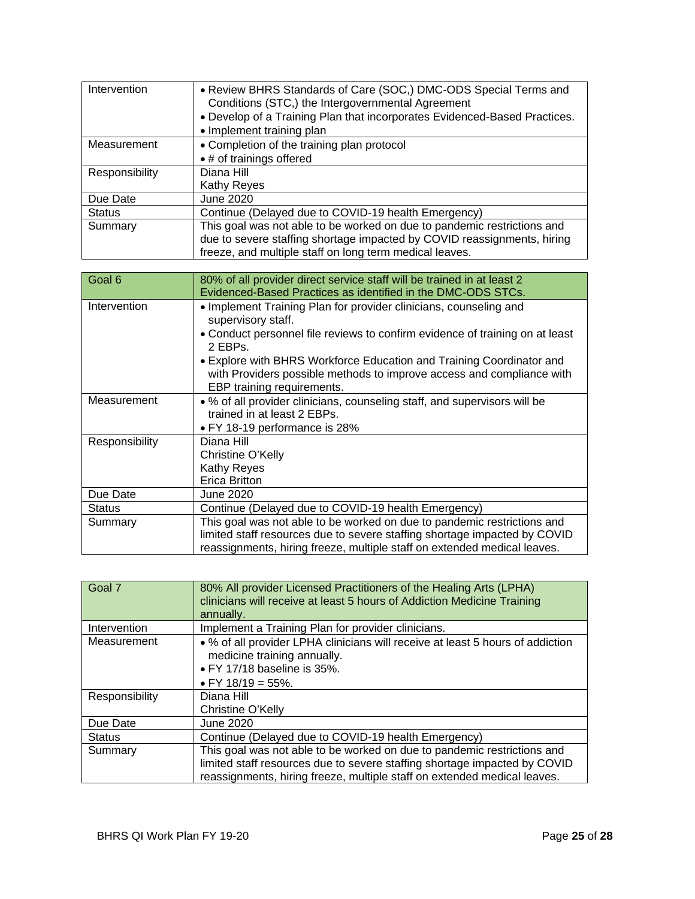| Intervention   | • Review BHRS Standards of Care (SOC,) DMC-ODS Special Terms and<br>Conditions (STC,) the Intergovernmental Agreement<br>. Develop of a Training Plan that incorporates Evidenced-Based Practices.<br>• Implement training plan |
|----------------|---------------------------------------------------------------------------------------------------------------------------------------------------------------------------------------------------------------------------------|
| Measurement    | • Completion of the training plan protocol                                                                                                                                                                                      |
|                | • # of trainings offered                                                                                                                                                                                                        |
| Responsibility | Diana Hill                                                                                                                                                                                                                      |
|                | Kathy Reyes                                                                                                                                                                                                                     |
| Due Date       | <b>June 2020</b>                                                                                                                                                                                                                |
| <b>Status</b>  | Continue (Delayed due to COVID-19 health Emergency)                                                                                                                                                                             |
| Summary        | This goal was not able to be worked on due to pandemic restrictions and                                                                                                                                                         |
|                | due to severe staffing shortage impacted by COVID reassignments, hiring                                                                                                                                                         |
|                | freeze, and multiple staff on long term medical leaves.                                                                                                                                                                         |
|                |                                                                                                                                                                                                                                 |

| Goal 6         | 80% of all provider direct service staff will be trained in at least 2<br>Evidenced-Based Practices as identified in the DMC-ODS STCs.                                                                                                                                                                                              |
|----------------|-------------------------------------------------------------------------------------------------------------------------------------------------------------------------------------------------------------------------------------------------------------------------------------------------------------------------------------|
| Intervention   | • Implement Training Plan for provider clinicians, counseling and<br>supervisory staff.<br>• Conduct personnel file reviews to confirm evidence of training on at least<br>2 EBPs.<br>• Explore with BHRS Workforce Education and Training Coordinator and<br>with Providers possible methods to improve access and compliance with |
|                | EBP training requirements.                                                                                                                                                                                                                                                                                                          |
| Measurement    | • % of all provider clinicians, counseling staff, and supervisors will be<br>trained in at least 2 EBPs.<br>• FY 18-19 performance is 28%                                                                                                                                                                                           |
| Responsibility | Diana Hill<br>Christine O'Kelly<br>Kathy Reyes<br>Erica Britton                                                                                                                                                                                                                                                                     |
| Due Date       | June 2020                                                                                                                                                                                                                                                                                                                           |
| <b>Status</b>  | Continue (Delayed due to COVID-19 health Emergency)                                                                                                                                                                                                                                                                                 |
| Summary        | This goal was not able to be worked on due to pandemic restrictions and<br>limited staff resources due to severe staffing shortage impacted by COVID<br>reassignments, hiring freeze, multiple staff on extended medical leaves.                                                                                                    |

| Goal 7         | 80% All provider Licensed Practitioners of the Healing Arts (LPHA)<br>clinicians will receive at least 5 hours of Addiction Medicine Training<br>annually.                                                                       |
|----------------|----------------------------------------------------------------------------------------------------------------------------------------------------------------------------------------------------------------------------------|
| Intervention   | Implement a Training Plan for provider clinicians.                                                                                                                                                                               |
| Measurement    | • % of all provider LPHA clinicians will receive at least 5 hours of addiction<br>medicine training annually.<br>· FY 17/18 baseline is 35%.<br>• FY 18/19 = 55%.                                                                |
| Responsibility | Diana Hill<br>Christine O'Kelly                                                                                                                                                                                                  |
| Due Date       | June 2020                                                                                                                                                                                                                        |
| <b>Status</b>  | Continue (Delayed due to COVID-19 health Emergency)                                                                                                                                                                              |
| Summary        | This goal was not able to be worked on due to pandemic restrictions and<br>limited staff resources due to severe staffing shortage impacted by COVID<br>reassignments, hiring freeze, multiple staff on extended medical leaves. |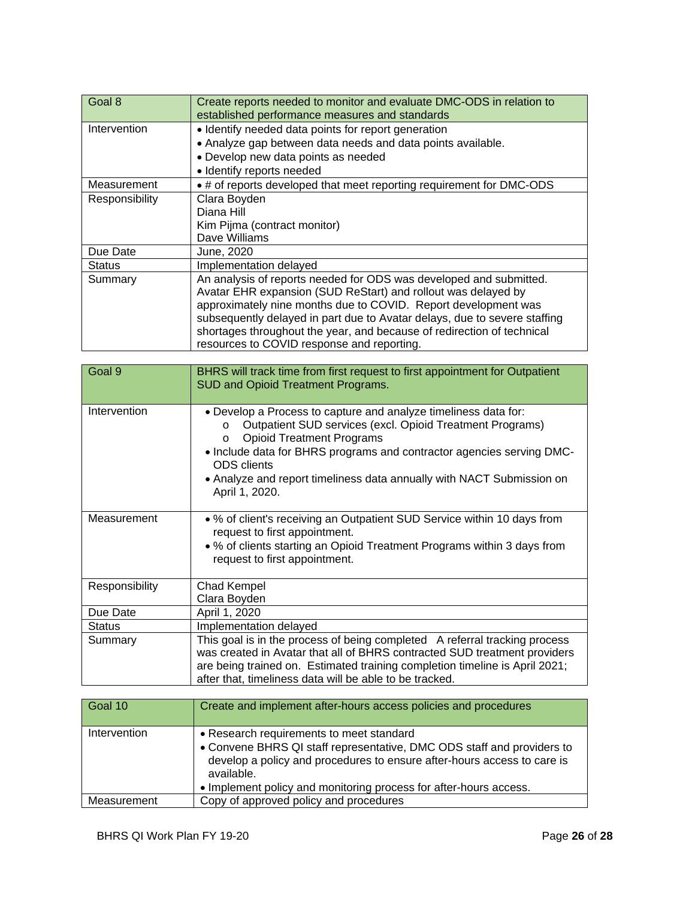| Goal 8         | Create reports needed to monitor and evaluate DMC-ODS in relation to<br>established performance measures and standards                                                                                                                                                                                                                                                                                     |
|----------------|------------------------------------------------------------------------------------------------------------------------------------------------------------------------------------------------------------------------------------------------------------------------------------------------------------------------------------------------------------------------------------------------------------|
| Intervention   | • Identify needed data points for report generation                                                                                                                                                                                                                                                                                                                                                        |
|                | • Analyze gap between data needs and data points available.                                                                                                                                                                                                                                                                                                                                                |
|                | • Develop new data points as needed                                                                                                                                                                                                                                                                                                                                                                        |
|                | • Identify reports needed                                                                                                                                                                                                                                                                                                                                                                                  |
| Measurement    | • # of reports developed that meet reporting requirement for DMC-ODS                                                                                                                                                                                                                                                                                                                                       |
| Responsibility | Clara Boyden                                                                                                                                                                                                                                                                                                                                                                                               |
|                | Diana Hill                                                                                                                                                                                                                                                                                                                                                                                                 |
|                | Kim Pijma (contract monitor)                                                                                                                                                                                                                                                                                                                                                                               |
|                | Dave Williams                                                                                                                                                                                                                                                                                                                                                                                              |
| Due Date       | June, 2020                                                                                                                                                                                                                                                                                                                                                                                                 |
| <b>Status</b>  | Implementation delayed                                                                                                                                                                                                                                                                                                                                                                                     |
| Summary        | An analysis of reports needed for ODS was developed and submitted.<br>Avatar EHR expansion (SUD ReStart) and rollout was delayed by<br>approximately nine months due to COVID. Report development was<br>subsequently delayed in part due to Avatar delays, due to severe staffing<br>shortages throughout the year, and because of redirection of technical<br>resources to COVID response and reporting. |

| Goal 9         | BHRS will track time from first request to first appointment for Outpatient<br>SUD and Opioid Treatment Programs.                                                                                                                                                                                                                                                                |
|----------------|----------------------------------------------------------------------------------------------------------------------------------------------------------------------------------------------------------------------------------------------------------------------------------------------------------------------------------------------------------------------------------|
| Intervention   | . Develop a Process to capture and analyze timeliness data for:<br>Outpatient SUD services (excl. Opioid Treatment Programs)<br>$\circ$<br><b>Opioid Treatment Programs</b><br>$\circ$<br>. Include data for BHRS programs and contractor agencies serving DMC-<br><b>ODS</b> clients<br>• Analyze and report timeliness data annually with NACT Submission on<br>April 1, 2020. |
| Measurement    | • % of client's receiving an Outpatient SUD Service within 10 days from<br>request to first appointment.<br>• % of clients starting an Opioid Treatment Programs within 3 days from<br>request to first appointment.                                                                                                                                                             |
| Responsibility | Chad Kempel<br>Clara Boyden                                                                                                                                                                                                                                                                                                                                                      |
| Due Date       | April 1, 2020                                                                                                                                                                                                                                                                                                                                                                    |
| <b>Status</b>  | Implementation delayed                                                                                                                                                                                                                                                                                                                                                           |
| Summary        | This goal is in the process of being completed A referral tracking process<br>was created in Avatar that all of BHRS contracted SUD treatment providers<br>are being trained on. Estimated training completion timeline is April 2021;<br>after that, timeliness data will be able to be tracked.                                                                                |

| Goal 10      | Create and implement after-hours access policies and procedures                                                                                                                                                                                                                  |
|--------------|----------------------------------------------------------------------------------------------------------------------------------------------------------------------------------------------------------------------------------------------------------------------------------|
| Intervention | • Research requirements to meet standard<br>• Convene BHRS QI staff representative, DMC ODS staff and providers to<br>develop a policy and procedures to ensure after-hours access to care is<br>available.<br>• Implement policy and monitoring process for after-hours access. |
| Measurement  | Copy of approved policy and procedures                                                                                                                                                                                                                                           |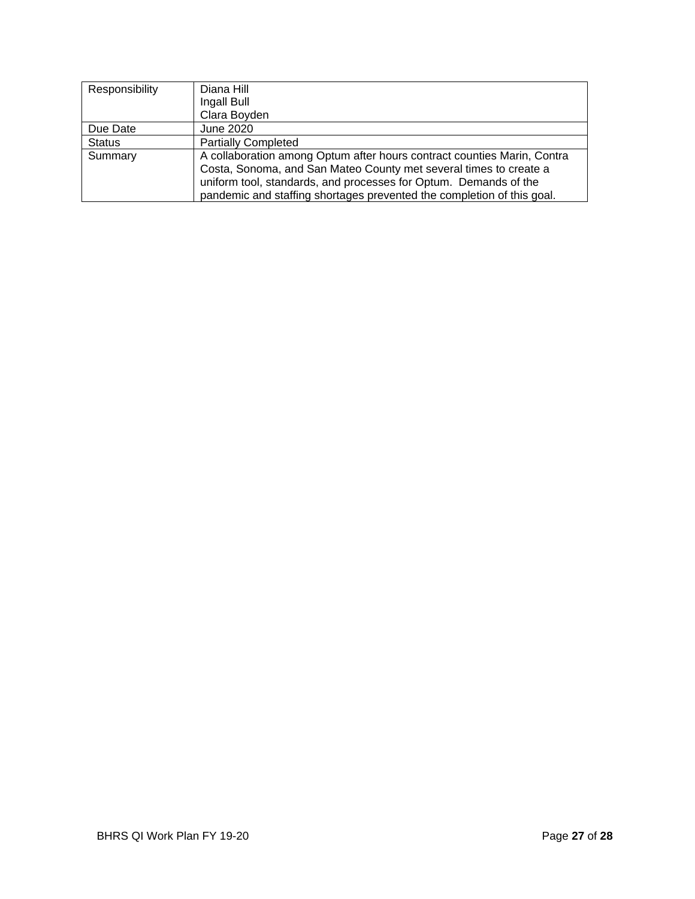| Responsibility | Diana Hill                                                                                                                                   |
|----------------|----------------------------------------------------------------------------------------------------------------------------------------------|
|                | Ingall Bull                                                                                                                                  |
|                | Clara Boyden                                                                                                                                 |
| Due Date       | June 2020                                                                                                                                    |
| <b>Status</b>  | <b>Partially Completed</b>                                                                                                                   |
| Summary        | A collaboration among Optum after hours contract counties Marin, Contra<br>Costa, Sonoma, and San Mateo County met several times to create a |
|                | uniform tool, standards, and processes for Optum. Demands of the                                                                             |
|                | pandemic and staffing shortages prevented the completion of this goal.                                                                       |